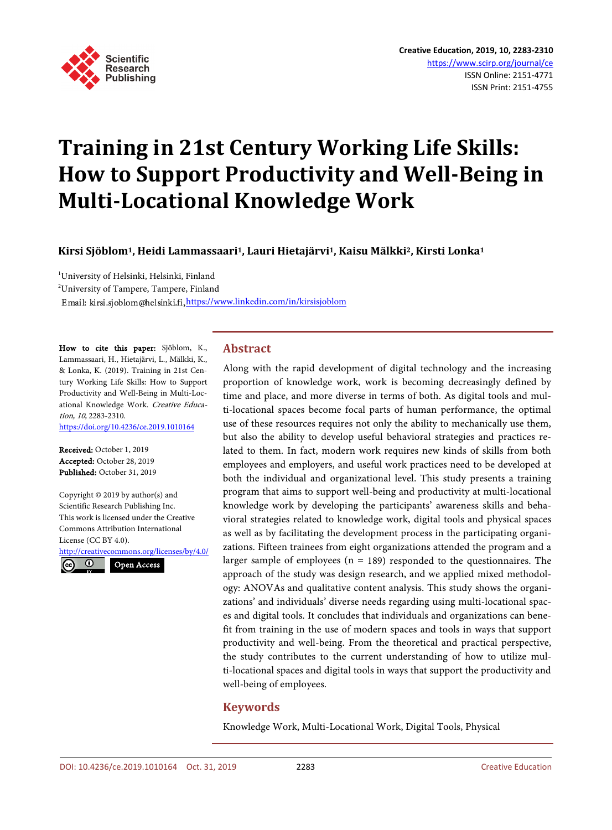

# **Training in 21st Century Working Life Skills: How to Support Productivity and Well-Being in Multi-Locational Knowledge Work**

**Kirsi Sjöblom1, Heidi Lammassaari1, Lauri Hietajärvi1, Kaisu Mälkki2, Kirsti Lonka1**

<sup>1</sup>University of Helsinki, Helsinki, Finland 2 University of Tampere, Tampere, Finland Email: kirsi.sjoblom@helsinki.fi, <https://www.linkedin.com/in/kirsisjoblom>

How to cite this paper: Sjöblom, K., Lammassaari, H., Hietajärvi, L., Mälkki, K., & Lonka, K. (2019). Training in 21st Century Working Life Skills: How to Support Productivity and Well-Being in Multi-Locational Knowledge Work. Creative Education, 10, 2283-2310. <https://doi.org/10.4236/ce.2019.1010164>

Received: October 1, 2019 Accepted: October 28, 2019 Published: October 31, 2019

Copyright © 2019 by author(s) and Scientific Research Publishing Inc. This work is licensed under the Creative Commons Attribution International License (CC BY 4.0).

<http://creativecommons.org/licenses/by/4.0/> Open Access $\odot$ <sub>cc</sub>

# **Abstract**

Along with the rapid development of digital technology and the increasing proportion of knowledge work, work is becoming decreasingly defined by time and place, and more diverse in terms of both. As digital tools and multi-locational spaces become focal parts of human performance, the optimal use of these resources requires not only the ability to mechanically use them, but also the ability to develop useful behavioral strategies and practices related to them. In fact, modern work requires new kinds of skills from both employees and employers, and useful work practices need to be developed at both the individual and organizational level. This study presents a training program that aims to support well-being and productivity at multi-locational knowledge work by developing the participants' awareness skills and behavioral strategies related to knowledge work, digital tools and physical spaces as well as by facilitating the development process in the participating organizations. Fifteen trainees from eight organizations attended the program and a larger sample of employees ( $n = 189$ ) responded to the questionnaires. The approach of the study was design research, and we applied mixed methodology: ANOVAs and qualitative content analysis. This study shows the organizations' and individuals' diverse needs regarding using multi-locational spaces and digital tools. It concludes that individuals and organizations can benefit from training in the use of modern spaces and tools in ways that support productivity and well-being. From the theoretical and practical perspective, the study contributes to the current understanding of how to utilize multi-locational spaces and digital tools in ways that support the productivity and well-being of employees.

# **Keywords**

Knowledge Work, Multi-Locational Work, Digital Tools, Physical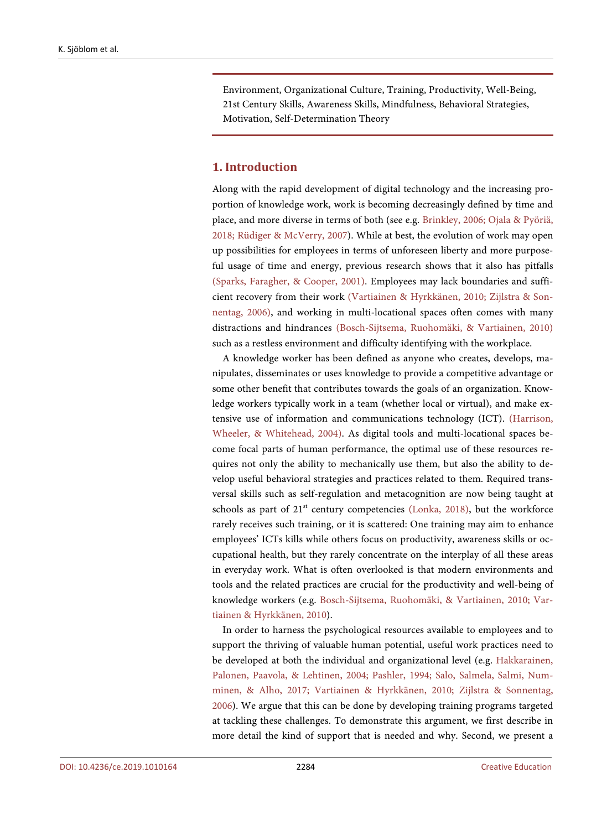Environment, Organizational Culture, Training, Productivity, Well-Being, 21st Century Skills, Awareness Skills, Mindfulness, Behavioral Strategies, Motivation, Self-Determination Theory

## **1. Introduction**

Along with the rapid development of digital technology and the increasing proportion of knowledge work, work is becoming decreasingly defined by time and place, and more diverse in terms of both (see e.g. [Brinkley, 2006;](#page-21-0) [Ojala & Pyöriä,](#page-23-0)  [2018;](#page-23-0) [Rüdiger & McVerry, 2007\)](#page-23-1). While at best, the evolution of work may open up possibilities for employees in terms of unforeseen liberty and more purposeful usage of time and energy, previous research shows that it also has pitfalls [\(Sparks, Faragher,](#page-24-0) & Cooper, 2001). Employees may lack boundaries and sufficient recovery from their work [\(Vartiainen & Hyrkkänen, 2010;](#page-24-1) [Zijlstra & Son](#page-24-2)[nentag, 2006\),](#page-24-2) and working in multi-locational spaces often comes with many distractions and hindrances [\(Bosch-Sijtsema, Ruohomäki,](#page-21-1) & Vartiainen, 2010) such as a restless environment and difficulty identifying with the workplace.

A knowledge worker has been defined as anyone who creates, develops, manipulates, disseminates or uses knowledge to provide a competitive advantage or some other benefit that contributes towards the goals of an organization. Knowledge workers typically work in a team (whether local or virtual), and make extensive use of information and communications technology (ICT). [\(Harrison,](#page-22-0)  Wheeler, [& Whitehead, 2004\).](#page-22-0) As digital tools and multi-locational spaces become focal parts of human performance, the optimal use of these resources requires not only the ability to mechanically use them, but also the ability to develop useful behavioral strategies and practices related to them. Required transversal skills such as self-regulation and metacognition are now being taught at schools as part of  $21<sup>st</sup>$  century competencies [\(Lonka, 2018\),](#page-23-2) but the workforce rarely receives such training, or it is scattered: One training may aim to enhance employees' ICTs kills while others focus on productivity, awareness skills or occupational health, but they rarely concentrate on the interplay of all these areas in everyday work. What is often overlooked is that modern environments and tools and the related practices are crucial for the productivity and well-being of knowledge workers (e.g. [Bosch-Sijtsema, Ruohomäki,](#page-21-1) & Vartiainen, 2010; [Var](#page-24-1)[tiainen & Hyrkkänen, 2010\)](#page-24-1).

In order to harness the psychological resources available to employees and to support the thriving of valuable human potential, useful work practices need to be developed at both the individual and organizational level (e.g. [Hakkarainen,](#page-22-0)  Palonen, Paavola, [& Lehtinen, 2004;](#page-22-0) [Pashler, 1994;](#page-23-3) [Salo, Salmela, Salmi, Num](#page-24-3)minen, [& Alho, 2017;](#page-24-3) [Vartiainen & Hyrkkänen, 2010;](#page-24-1) [Zijlstra & Sonnentag,](#page-24-2)  [2006\)](#page-24-2). We argue that this can be done by developing training programs targeted at tackling these challenges. To demonstrate this argument, we first describe in more detail the kind of support that is needed and why. Second, we present a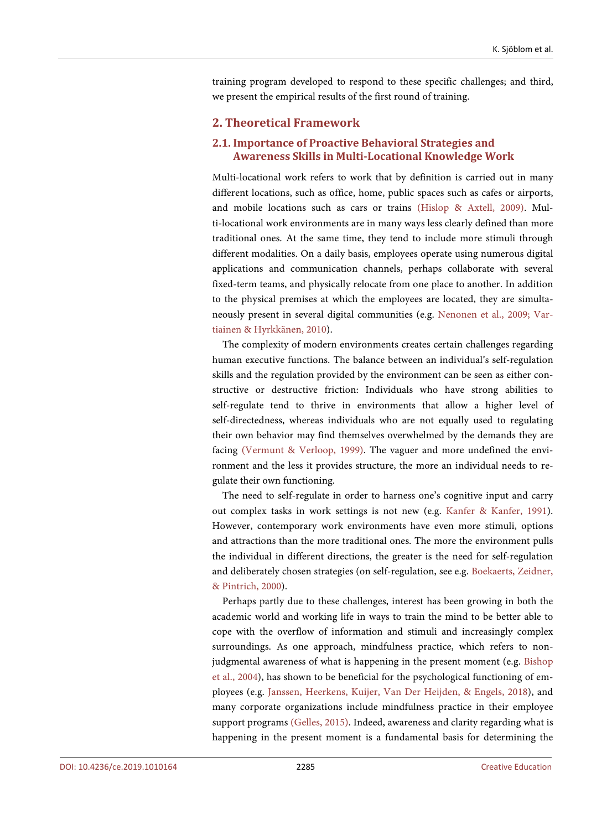training program developed to respond to these specific challenges; and third, we present the empirical results of the first round of training.

# **2. Theoretical Framework**

# **2.1. Importance of Proactive Behavioral Strategies and Awareness Skills in Multi-Locational Knowledge Work**

Multi-locational work refers to work that by definition is carried out in many different locations, such as office, home, public spaces such as cafes or airports, and mobile locations such as cars or trains [\(Hislop & Axtell, 2009\).](#page-22-1) Multi-locational work environments are in many ways less clearly defined than more traditional ones. At the same time, they tend to include more stimuli through different modalities. On a daily basis, employees operate using numerous digital applications and communication channels, perhaps collaborate with several fixed-term teams, and physically relocate from one place to another. In addition to the physical premises at which the employees are located, they are simultaneously present in several digital communities (e.g. [Nenonen et al., 2009;](#page-23-4) [Var](#page-24-1)[tiainen & Hyrkkänen, 2010\)](#page-24-1).

The complexity of modern environments creates certain challenges regarding human executive functions. The balance between an individual's self-regulation skills and the regulation provided by the environment can be seen as either constructive or destructive friction: Individuals who have strong abilities to self-regulate tend to thrive in environments that allow a higher level of self-directedness, whereas individuals who are not equally used to regulating their own behavior may find themselves overwhelmed by the demands they are facing [\(Vermunt & Verloop, 1999\).](#page-24-4) The vaguer and more undefined the environment and the less it provides structure, the more an individual needs to regulate their own functioning.

The need to self-regulate in order to harness one's cognitive input and carry out complex tasks in work settings is not new (e.g. [Kanfer & Kanfer, 1991\)](#page-22-2). However, contemporary work environments have even more stimuli, options and attractions than the more traditional ones. The more the environment pulls the individual in different directions, the greater is the need for self-regulation and deliberately chosen strategies (on self-regulation, see e.g. [Boekaerts, Zeidner,](#page-21-2) [& Pintrich, 2000\)](#page-21-2).

Perhaps partly due to these challenges, interest has been growing in both the academic world and working life in ways to train the mind to be better able to cope with the overflow of information and stimuli and increasingly complex surroundings. As one approach, mindfulness practice, which refers to nonjudgmental awareness of what is happening in the present moment (e.g. [Bishop](#page-21-3)  [et al., 2004\)](#page-21-3), has shown to be beneficial for the psychological functioning of employees (e.g. [Janssen, Heerkens, Kuijer, Van Der Heijden,](#page-22-3) & Engels, 2018), and many corporate organizations include mindfulness practice in their employee support programs [\(Gelles, 2015\).](#page-22-4) Indeed, awareness and clarity regarding what is happening in the present moment is a fundamental basis for determining the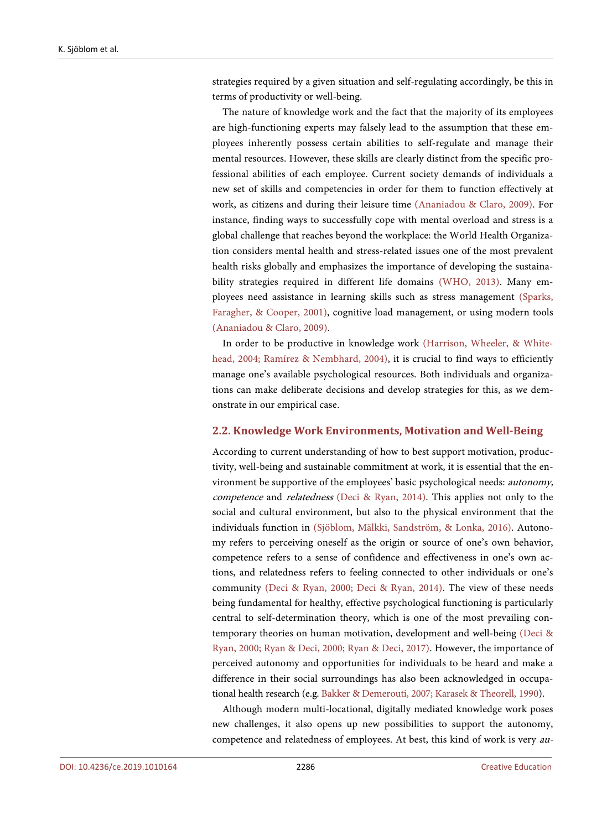strategies required by a given situation and self-regulating accordingly, be this in terms of productivity or well-being.

The nature of knowledge work and the fact that the majority of its employees are high-functioning experts may falsely lead to the assumption that these employees inherently possess certain abilities to self-regulate and manage their mental resources. However, these skills are clearly distinct from the specific professional abilities of each employee. Current society demands of individuals a new set of skills and competencies in order for them to function effectively at work, as citizens and during their leisure time [\(Ananiadou & Claro, 2009\).](#page-21-4) For instance, finding ways to successfully cope with mental overload and stress is a global challenge that reaches beyond the workplace: the World Health Organization considers mental health and stress-related issues one of the most prevalent health risks globally and emphasizes the importance of developing the sustainability strategies required in different life domains [\(WHO, 2013\).](#page-24-5) Many employees need assistance in learning skills such as stress management [\(Sparks,](#page-24-0)  Faragher, [& Cooper, 2001\),](#page-24-0) cognitive load management, or using modern tools [\(Ananiadou & Claro, 2009\).](#page-21-4)

In order to be productive in knowledge work [\(Harrison, Wheeler,](#page-22-5) & White[head, 2004;](#page-22-5) [Ramírez & Nembhard, 2004\),](#page-23-5) it is crucial to find ways to efficiently manage one's available psychological resources. Both individuals and organizations can make deliberate decisions and develop strategies for this, as we demonstrate in our empirical case.

#### **2.2. Knowledge Work Environments, Motivation and Well-Being**

According to current understanding of how to best support motivation, productivity, well-being and sustainable commitment at work, it is essential that the environment be supportive of the employees' basic psychological needs: autonomy, competence and *relatedness* [\(Deci & Ryan, 2014\).](#page-21-5) This applies not only to the social and cultural environment, but also to the physical environment that the individuals function in [\(Sjöblom, Mälkki, Sandström,](#page-24-6) & Lonka, 2016). Autonomy refers to perceiving oneself as the origin or source of one's own behavior, competence refers to a sense of confidence and effectiveness in one's own actions, and relatedness refers to feeling connected to other individuals or one's community [\(Deci & Ryan, 2000;](#page-21-6) [Deci & Ryan, 2014\).](#page-21-5) The view of these needs being fundamental for healthy, effective psychological functioning is particularly central to self-determination theory, which is one of the most prevailing contemporary theories on human motivation, development and well-being [\(Deci &](#page-21-6)  [Ryan, 2000;](#page-21-6) [Ryan & Deci, 2000;](#page-24-7) [Ryan & Deci, 2017\).](#page-24-8) However, the importance of perceived autonomy and opportunities for individuals to be heard and make a difference in their social surroundings has also been acknowledged in occupational health research (e.g. [Bakker & Demerouti, 2007;](#page-21-7) [Karasek & Theorell,](#page-22-6) 1990).

Although modern multi-locational, digitally mediated knowledge work poses new challenges, it also opens up new possibilities to support the autonomy, competence and relatedness of employees. At best, this kind of work is very au-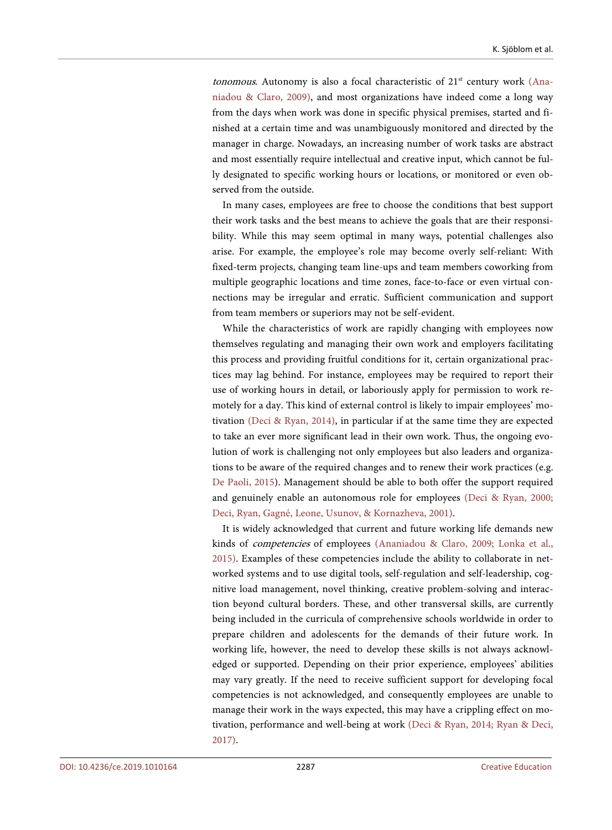tonomous. Autonomy is also a focal characteristic of  $21<sup>st</sup>$  century work [\(Ana](#page-21-4)[niadou & Claro, 2009\),](#page-21-4) and most organizations have indeed come a long way from the days when work was done in specific physical premises, started and finished at a certain time and was unambiguously monitored and directed by the manager in charge. Nowadays, an increasing number of work tasks are abstract and most essentially require intellectual and creative input, which cannot be fully designated to specific working hours or locations, or monitored or even observed from the outside.

In many cases, employees are free to choose the conditions that best support their work tasks and the best means to achieve the goals that are their responsibility. While this may seem optimal in many ways, potential challenges also arise. For example, the employee's role may become overly self-reliant: With fixed-term projects, changing team line-ups and team members coworking from multiple geographic locations and time zones, face-to-face or even virtual connections may be irregular and erratic. Sufficient communication and support from team members or superiors may not be self-evident.

While the characteristics of work are rapidly changing with employees now themselves regulating and managing their own work and employers facilitating this process and providing fruitful conditions for it, certain organizational practices may lag behind. For instance, employees may be required to report their use of working hours in detail, or laboriously apply for permission to work remotely for a day. This kind of external control is likely to impair employees' motivation [\(Deci & Ryan, 2014\),](#page-21-5) in particular if at the same time they are expected to take an ever more significant lead in their own work. Thus, the ongoing evolution of work is challenging not only employees but also leaders and organizations to be aware of the required changes and to renew their work practices (e.g. [De Paoli, 2015\)](#page-22-7). Management should be able to both offer the support required and genuinely enable an autonomous role for employees [\(Deci & Ryan, 2000;](#page-21-6) Deci, Ryan, Gagné, Leone, Usunov, [& Kornazheva, 2001\).](#page-21-8)

It is widely acknowledged that current and future working life demands new kinds of competencies of employees [\(Ananiadou & Claro, 2009;](#page-21-4) [Lonka et al.,](#page-23-6)  [2015\).](#page-23-6) Examples of these competencies include the ability to collaborate in networked systems and to use digital tools, self-regulation and self-leadership, cognitive load management, novel thinking, creative problem-solving and interaction beyond cultural borders. These, and other transversal skills, are currently being included in the curricula of comprehensive schools worldwide in order to prepare children and adolescents for the demands of their future work. In working life, however, the need to develop these skills is not always acknowledged or supported. Depending on their prior experience, employees' abilities may vary greatly. If the need to receive sufficient support for developing focal competencies is not acknowledged, and consequently employees are unable to manage their work in the ways expected, this may have a crippling effect on motivation, performance and well-being at work [\(Deci & Ryan, 2014;](#page-21-5) [Ryan & Deci,](#page-24-8)  [2017\).](#page-24-8)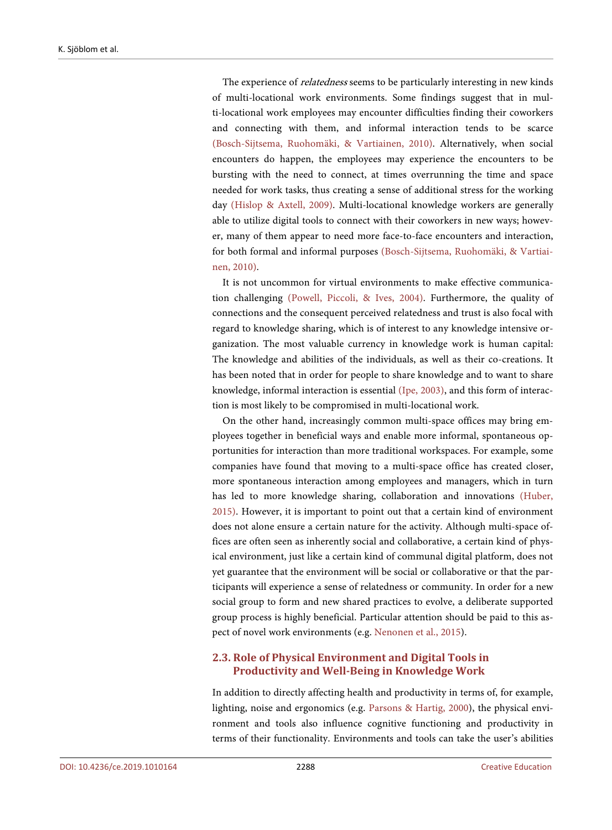The experience of *relatedness* seems to be particularly interesting in new kinds of multi-locational work environments. Some findings suggest that in multi-locational work employees may encounter difficulties finding their coworkers and connecting with them, and informal interaction tends to be scarce [\(Bosch-Sijtsema, Ruohomäki,](#page-21-1) & Vartiainen, 2010). Alternatively, when social encounters do happen, the employees may experience the encounters to be bursting with the need to connect, at times overrunning the time and space needed for work tasks, thus creating a sense of additional stress for the working day [\(Hislop & Axtell, 2009\).](#page-22-1) Multi-locational knowledge workers are generally able to utilize digital tools to connect with their coworkers in new ways; however, many of them appear to need more face-to-face encounters and interaction, for both formal and informal purposes [\(Bosch-Sijtsema, Ruohomäki,](#page-21-1) & Vartiai[nen, 2010\).](#page-21-1)

It is not uncommon for virtual environments to make effective communication challenging [\(Powell, Piccoli,](#page-23-7) & Ives, 2004). Furthermore, the quality of connections and the consequent perceived relatedness and trust is also focal with regard to knowledge sharing, which is of interest to any knowledge intensive organization. The most valuable currency in knowledge work is human capital: The knowledge and abilities of the individuals, as well as their co-creations. It has been noted that in order for people to share knowledge and to want to share knowledge, informal interaction is essential [\(Ipe, 2003\),](#page-22-8) and this form of interaction is most likely to be compromised in multi-locational work.

On the other hand, increasingly common multi-space offices may bring employees together in beneficial ways and enable more informal, spontaneous opportunities for interaction than more traditional workspaces. For example, some companies have found that moving to a multi-space office has created closer, more spontaneous interaction among employees and managers, which in turn has led to more knowledge sharing, collaboration and innovations [\(Huber,](#page-22-9)  [2015\).](#page-22-9) However, it is important to point out that a certain kind of environment does not alone ensure a certain nature for the activity. Although multi-space offices are often seen as inherently social and collaborative, a certain kind of physical environment, just like a certain kind of communal digital platform, does not yet guarantee that the environment will be social or collaborative or that the participants will experience a sense of relatedness or community. In order for a new social group to form and new shared practices to evolve, a deliberate supported group process is highly beneficial. Particular attention should be paid to this aspect of novel work environments (e.g. [Nenonen et al., 2015\)](#page-23-8).

## **2.3. Role of Physical Environment and Digital Tools in Productivity and Well-Being in Knowledge Work**

In addition to directly affecting health and productivity in terms of, for example, lighting, noise and ergonomics (e.g. [Parsons & Hartig, 2000\)](#page-23-9), the physical environment and tools also influence cognitive functioning and productivity in terms of their functionality. Environments and tools can take the user's abilities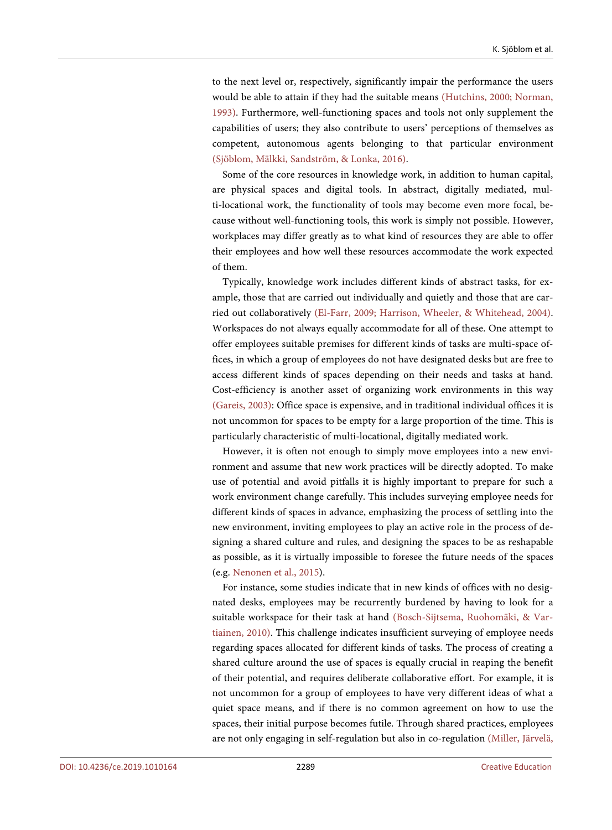to the next level or, respectively, significantly impair the performance the users would be able to attain if they had the suitable means [\(Hutchins, 2000;](#page-22-10) [Norman,](#page-23-10)  [1993\).](#page-23-10) Furthermore, well-functioning spaces and tools not only supplement the capabilities of users; they also contribute to users' perceptions of themselves as competent, autonomous agents belonging to that particular environment [\(Sjöblom, Mälkki, Sandström,](#page-24-6) & Lonka, 2016).

Some of the core resources in knowledge work, in addition to human capital, are physical spaces and digital tools. In abstract, digitally mediated, multi-locational work, the functionality of tools may become even more focal, because without well-functioning tools, this work is simply not possible. However, workplaces may differ greatly as to what kind of resources they are able to offer their employees and how well these resources accommodate the work expected of them.

Typically, knowledge work includes different kinds of abstract tasks, for example, those that are carried out individually and quietly and those that are carried out collaboratively [\(El-Farr, 2009;](#page-22-11) [Harrison, Wheeler,](#page-22-0) & Whitehead, 2004). Workspaces do not always equally accommodate for all of these. One attempt to offer employees suitable premises for different kinds of tasks are multi-space offices, in which a group of employees do not have designated desks but are free to access different kinds of spaces depending on their needs and tasks at hand. Cost-efficiency is another asset of organizing work environments in this way [\(Gareis, 2003\):](#page-22-12) Office space is expensive, and in traditional individual offices it is not uncommon for spaces to be empty for a large proportion of the time. This is particularly characteristic of multi-locational, digitally mediated work.

However, it is often not enough to simply move employees into a new environment and assume that new work practices will be directly adopted. To make use of potential and avoid pitfalls it is highly important to prepare for such a work environment change carefully. This includes surveying employee needs for different kinds of spaces in advance, emphasizing the process of settling into the new environment, inviting employees to play an active role in the process of designing a shared culture and rules, and designing the spaces to be as reshapable as possible, as it is virtually impossible to foresee the future needs of the spaces (e.g[. Nenonen et al., 2015\)](#page-23-8).

For instance, some studies indicate that in new kinds of offices with no designated desks, employees may be recurrently burdened by having to look for a suitable workspace for their task at hand [\(Bosch-Sijtsema, Ruohomäki,](#page-21-1) & Var[tiainen, 2010\).](#page-21-1) This challenge indicates insufficient surveying of employee needs regarding spaces allocated for different kinds of tasks. The process of creating a shared culture around the use of spaces is equally crucial in reaping the benefit of their potential, and requires deliberate collaborative effort. For example, it is not uncommon for a group of employees to have very different ideas of what a quiet space means, and if there is no common agreement on how to use the spaces, their initial purpose becomes futile. Through shared practices, employees are not only engaging in self-regulation but also in co-regulation [\(Miller, Järvelä,](#page-23-11)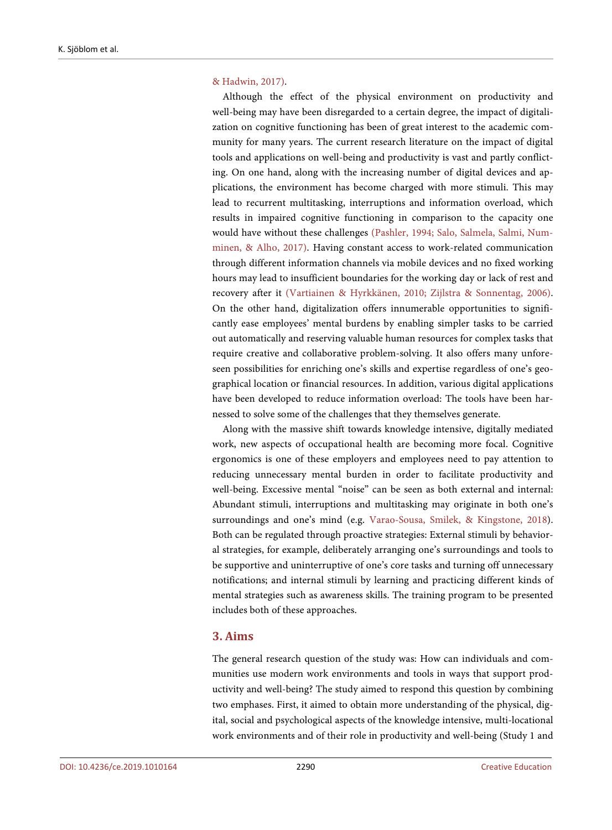#### & Hadwin, 2017).

Although the effect of the physical environment on productivity and well-being may have been disregarded to a certain degree, the impact of digitalization on cognitive functioning has been of great interest to the academic community for many years. The current research literature on the impact of digital tools and applications on well-being and productivity is vast and partly conflicting. On one hand, along with the increasing number of digital devices and applications, the environment has become charged with more stimuli. This may lead to recurrent multitasking, interruptions and information overload, which results in impaired cognitive functioning in comparison to the capacity one would have without these challenges [\(Pashler, 1994;](#page-23-3) [Salo, Salmela, Salmi, Num](#page-24-3)minen, [& Alho, 2017\).](#page-24-3) Having constant access to work-related communication through different information channels via mobile devices and no fixed working hours may lead to insufficient boundaries for the working day or lack of rest and recovery after it [\(Vartiainen & Hyrkkänen, 2010;](#page-24-1) [Zijlstra & Sonnentag, 2006\).](#page-24-2)  On the other hand, digitalization offers innumerable opportunities to significantly ease employees' mental burdens by enabling simpler tasks to be carried out automatically and reserving valuable human resources for complex tasks that require creative and collaborative problem-solving. It also offers many unforeseen possibilities for enriching one's skills and expertise regardless of one's geographical location or financial resources. In addition, various digital applications have been developed to reduce information overload: The tools have been harnessed to solve some of the challenges that they themselves generate.

Along with the massive shift towards knowledge intensive, digitally mediated work, new aspects of occupational health are becoming more focal. Cognitive ergonomics is one of these employers and employees need to pay attention to reducing unnecessary mental burden in order to facilitate productivity and well-being. Excessive mental "noise" can be seen as both external and internal: Abundant stimuli, interruptions and multitasking may originate in both one's surroundings and one's mind (e.g. [Varao-Sousa, Smilek,](#page-24-9) & Kingstone, 2018). Both can be regulated through proactive strategies: External stimuli by behavioral strategies, for example, deliberately arranging one's surroundings and tools to be supportive and uninterruptive of one's core tasks and turning off unnecessary notifications; and internal stimuli by learning and practicing different kinds of mental strategies such as awareness skills. The training program to be presented includes both of these approaches.

## **3. Aims**

The general research question of the study was: How can individuals and communities use modern work environments and tools in ways that support productivity and well-being? The study aimed to respond this question by combining two emphases. First, it aimed to obtain more understanding of the physical, digital, social and psychological aspects of the knowledge intensive, multi-locational work environments and of their role in productivity and well-being (Study 1 and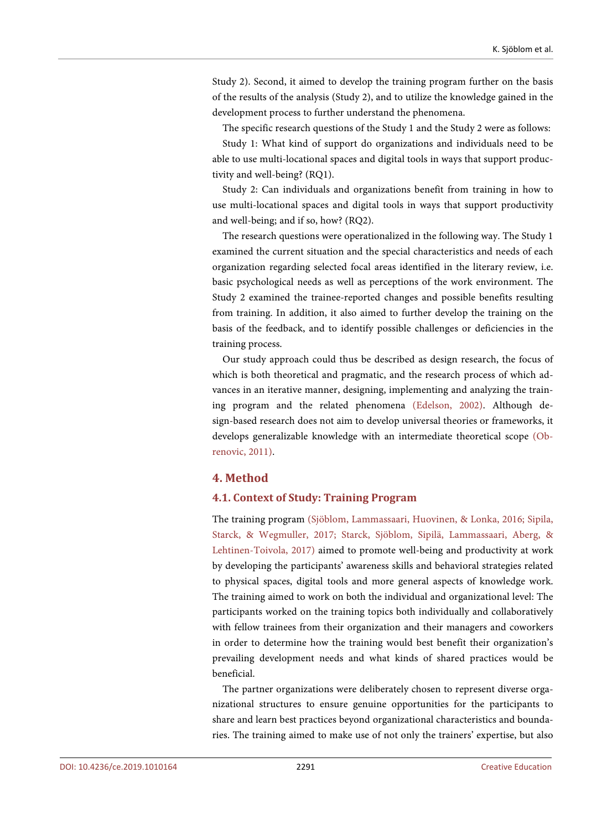Study 2). Second, it aimed to develop the training program further on the basis of the results of the analysis (Study 2), and to utilize the knowledge gained in the development process to further understand the phenomena.

The specific research questions of the Study 1 and the Study 2 were as follows:

Study 1: What kind of support do organizations and individuals need to be able to use multi-locational spaces and digital tools in ways that support productivity and well-being? (RQ1).

Study 2: Can individuals and organizations benefit from training in how to use multi-locational spaces and digital tools in ways that support productivity and well-being; and if so, how? (RQ2).

The research questions were operationalized in the following way. The Study 1 examined the current situation and the special characteristics and needs of each organization regarding selected focal areas identified in the literary review, i.e. basic psychological needs as well as perceptions of the work environment. The Study 2 examined the trainee-reported changes and possible benefits resulting from training. In addition, it also aimed to further develop the training on the basis of the feedback, and to identify possible challenges or deficiencies in the training process.

Our study approach could thus be described as design research, the focus of which is both theoretical and pragmatic, and the research process of which advances in an iterative manner, designing, implementing and analyzing the training program and the related phenomena [\(Edelson, 2002\).](#page-22-13) Although design-based research does not aim to develop universal theories or frameworks, it develops generalizable knowledge with an intermediate theoretical scope [\(Ob](#page-23-12)[renovic, 2011\).](#page-23-12)

# **4. Method**

## **4.1. Context of Study: Training Program**

The training program [\(Sjöblom, Lammassaari, Huovinen,](#page-24-10) & Lonka, 2016; [Sipila,](#page-24-11) Starck, [& Wegmuller, 2017;](#page-24-11) [Starck, Sjöblom, Sipilä,](#page-24-12) Lammassaari, Aberg, & [Lehtinen-Toivola, 2017\)](#page-24-12) aimed to promote well-being and productivity at work by developing the participants' awareness skills and behavioral strategies related to physical spaces, digital tools and more general aspects of knowledge work. The training aimed to work on both the individual and organizational level: The participants worked on the training topics both individually and collaboratively with fellow trainees from their organization and their managers and coworkers in order to determine how the training would best benefit their organization's prevailing development needs and what kinds of shared practices would be beneficial.

The partner organizations were deliberately chosen to represent diverse organizational structures to ensure genuine opportunities for the participants to share and learn best practices beyond organizational characteristics and boundaries. The training aimed to make use of not only the trainers' expertise, but also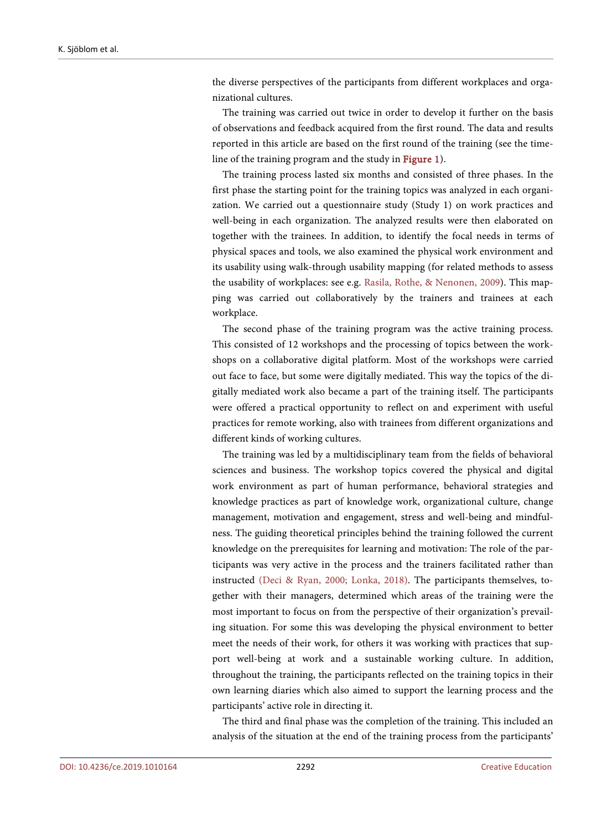the diverse perspectives of the participants from different workplaces and organizational cultures.

The training was carried out twice in order to develop it further on the basis of observations and feedback acquired from the first round. The data and results reported in this article are based on the first round of the training (see the timeline of the training program and the study in [Figure 1\)](#page-10-0).

The training process lasted six months and consisted of three phases. In the first phase the starting point for the training topics was analyzed in each organization. We carried out a questionnaire study (Study 1) on work practices and well-being in each organization. The analyzed results were then elaborated on together with the trainees. In addition, to identify the focal needs in terms of physical spaces and tools, we also examined the physical work environment and its usability using walk-through usability mapping (for related methods to assess the usability of workplaces: see e.g. Rasila, Rothe, [& Nenonen, 2009\)](#page-23-13). This mapping was carried out collaboratively by the trainers and trainees at each workplace.

The second phase of the training program was the active training process. This consisted of 12 workshops and the processing of topics between the workshops on a collaborative digital platform. Most of the workshops were carried out face to face, but some were digitally mediated. This way the topics of the digitally mediated work also became a part of the training itself. The participants were offered a practical opportunity to reflect on and experiment with useful practices for remote working, also with trainees from different organizations and different kinds of working cultures.

The training was led by a multidisciplinary team from the fields of behavioral sciences and business. The workshop topics covered the physical and digital work environment as part of human performance, behavioral strategies and knowledge practices as part of knowledge work, organizational culture, change management, motivation and engagement, stress and well-being and mindfulness. The guiding theoretical principles behind the training followed the current knowledge on the prerequisites for learning and motivation: The role of the participants was very active in the process and the trainers facilitated rather than instructed [\(Deci & Ryan, 2000;](#page-21-6) [Lonka, 2018\).](#page-23-2) The participants themselves, together with their managers, determined which areas of the training were the most important to focus on from the perspective of their organization's prevailing situation. For some this was developing the physical environment to better meet the needs of their work, for others it was working with practices that support well-being at work and a sustainable working culture. In addition, throughout the training, the participants reflected on the training topics in their own learning diaries which also aimed to support the learning process and the participants' active role in directing it.

The third and final phase was the completion of the training. This included an analysis of the situation at the end of the training process from the participants'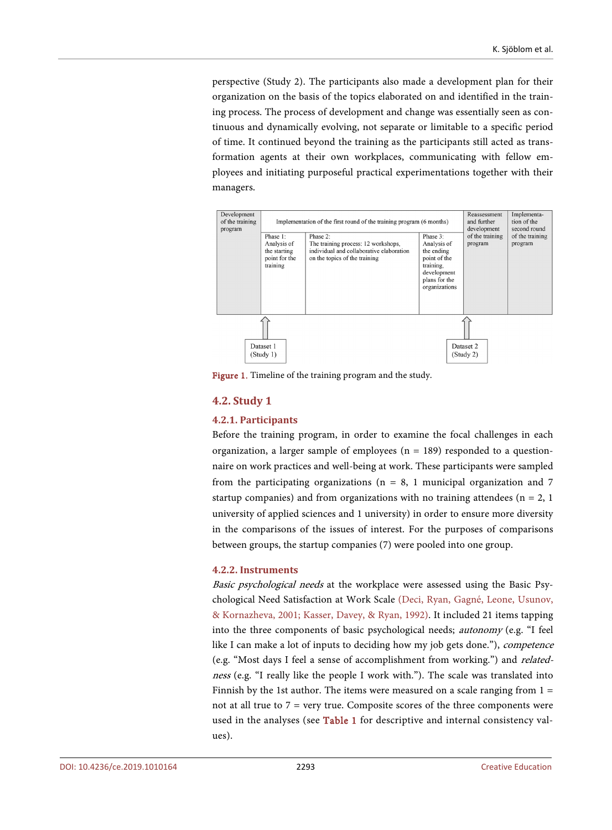perspective (Study 2). The participants also made a development plan for their organization on the basis of the topics elaborated on and identified in the training process. The process of development and change was essentially seen as continuous and dynamically evolving, not separate or limitable to a specific period of time. It continued beyond the training as the participants still acted as transformation agents at their own workplaces, communicating with fellow employees and initiating purposeful practical experimentations together with their managers.

<span id="page-10-0"></span>

Figure 1. Timeline of the training program and the study.

# **4.2. Study 1**

## **4.2.1. Participants**

Before the training program, in order to examine the focal challenges in each organization, a larger sample of employees ( $n = 189$ ) responded to a questionnaire on work practices and well-being at work. These participants were sampled from the participating organizations ( $n = 8$ , 1 municipal organization and 7 startup companies) and from organizations with no training attendees ( $n = 2$ , 1) university of applied sciences and 1 university) in order to ensure more diversity in the comparisons of the issues of interest. For the purposes of comparisons between groups, the startup companies (7) were pooled into one group.

#### **4.2.2. Instruments**

Basic psychological needs at the workplace were assessed using the Basic Psychological Need Satisfaction at Work Scale [\(Deci, Ryan, Gagn](#page-21-8)é, Leone, Usunov, [& Kornazheva, 2001;](#page-21-8) Kasser, Davey, [& Ryan, 1992\).](#page-22-14) It included 21 items tapping into the three components of basic psychological needs; autonomy (e.g. "I feel like I can make a lot of inputs to deciding how my job gets done."), *competence* (e.g. "Most days I feel a sense of accomplishment from working.") and relatedness (e.g. "I really like the people I work with."). The scale was translated into Finnish by the 1st author. The items were measured on a scale ranging from  $1 =$ not at all true to  $7$  = very true. Composite scores of the three components were used in the analyses (see [Table 1](#page-11-0) for descriptive and internal consistency values).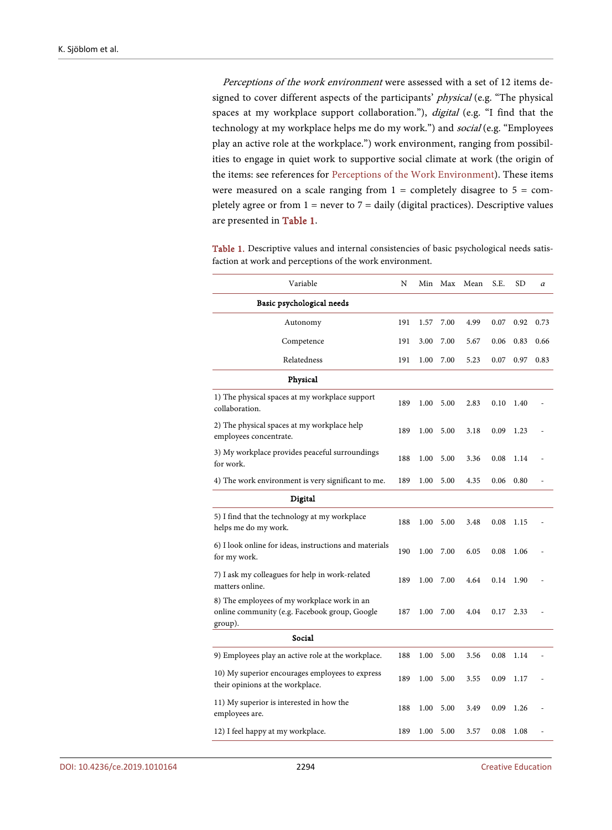Perceptions of the work environment were assessed with a set of 12 items designed to cover different aspects of the participants' physical (e.g. "The physical spaces at my workplace support collaboration."), digital (e.g. "I find that the technology at my workplace helps me do my work.") and social (e.g. "Employees play an active role at the workplace.") work environment, ranging from possibilities to engage in quiet work to supportive social climate at work (the origin of the items: see references for [Perceptions of the Work Environment\)](#page-25-0). These items were measured on a scale ranging from  $1 =$  completely disagree to  $5 =$  completely agree or from  $1 =$  never to  $7 =$  daily (digital practices). Descriptive values are presented in [Table 1.](#page-11-0)

| Variable                                                                                                | N   | Min  | Max  | Mean | S.E. | SD   | α    |
|---------------------------------------------------------------------------------------------------------|-----|------|------|------|------|------|------|
| Basic psychological needs                                                                               |     |      |      |      |      |      |      |
| Autonomy                                                                                                | 191 | 1.57 | 7.00 | 4.99 | 0.07 | 0.92 | 0.73 |
| Competence                                                                                              | 191 | 3.00 | 7.00 | 5.67 | 0.06 | 0.83 | 0.66 |
| Relatedness                                                                                             | 191 | 1.00 | 7.00 | 5.23 | 0.07 | 0.97 | 0.83 |
| Physical                                                                                                |     |      |      |      |      |      |      |
| 1) The physical spaces at my workplace support<br>collaboration.                                        | 189 | 1.00 | 5.00 | 2.83 | 0.10 | 1.40 |      |
| 2) The physical spaces at my workplace help<br>employees concentrate.                                   | 189 | 1.00 | 5.00 | 3.18 | 0.09 | 1.23 |      |
| 3) My workplace provides peaceful surroundings<br>for work.                                             | 188 | 1.00 | 5.00 | 3.36 | 0.08 | 1.14 |      |
| 4) The work environment is very significant to me.                                                      | 189 | 1.00 | 5.00 | 4.35 | 0.06 | 0.80 |      |
| Digital                                                                                                 |     |      |      |      |      |      |      |
| 5) I find that the technology at my workplace<br>helps me do my work.                                   | 188 | 1.00 | 5.00 | 3.48 | 0.08 | 1.15 |      |
| 6) I look online for ideas, instructions and materials<br>for my work.                                  | 190 | 1.00 | 7.00 | 6.05 | 0.08 | 1.06 |      |
| 7) I ask my colleagues for help in work-related<br>matters online.                                      | 189 | 1.00 | 7.00 | 4.64 | 0.14 | 1.90 |      |
| 8) The employees of my workplace work in an<br>online community (e.g. Facebook group, Google<br>group). | 187 | 1.00 | 7.00 | 4.04 | 0.17 | 2.33 |      |
| Social                                                                                                  |     |      |      |      |      |      |      |
| 9) Employees play an active role at the workplace.                                                      | 188 | 1.00 | 5.00 | 3.56 | 0.08 | 1.14 |      |
| 10) My superior encourages employees to express<br>their opinions at the workplace.                     | 189 | 1.00 | 5.00 | 3.55 | 0.09 | 1.17 |      |
| 11) My superior is interested in how the<br>employees are.                                              | 188 | 1.00 | 5.00 | 3.49 | 0.09 | 1.26 |      |
| 12) I feel happy at my workplace.                                                                       | 189 | 1.00 | 5.00 | 3.57 | 0.08 | 1.08 |      |

<span id="page-11-0"></span>Table 1. Descriptive values and internal consistencies of basic psychological needs satisfaction at work and perceptions of the work environment.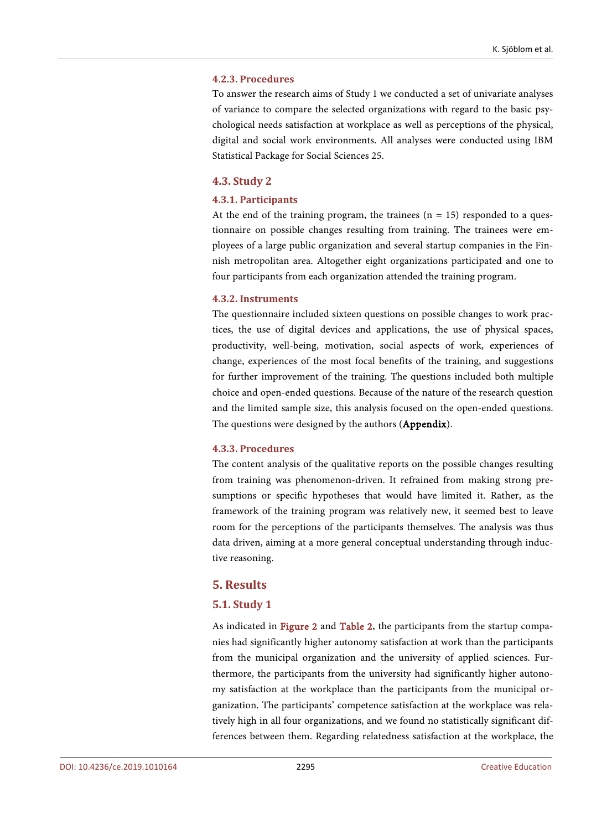#### **4.2.3. Procedures**

To answer the research aims of Study 1 we conducted a set of univariate analyses of variance to compare the selected organizations with regard to the basic psychological needs satisfaction at workplace as well as perceptions of the physical, digital and social work environments. All analyses were conducted using IBM Statistical Package for Social Sciences 25.

## **4.3. Study 2**

#### **4.3.1. Participants**

At the end of the training program, the trainees  $(n = 15)$  responded to a questionnaire on possible changes resulting from training. The trainees were employees of a large public organization and several startup companies in the Finnish metropolitan area. Altogether eight organizations participated and one to four participants from each organization attended the training program.

#### **4.3.2. Instruments**

The questionnaire included sixteen questions on possible changes to work practices, the use of digital devices and applications, the use of physical spaces, productivity, well-being, motivation, social aspects of work, experiences of change, experiences of the most focal benefits of the training, and suggestions for further improvement of the training. The questions included both multiple choice and open-ended questions. Because of the nature of the research question and the limited sample size, this analysis focused on the open-ended questions. The questions were designed by the authors (Appendix).

#### **4.3.3. Procedures**

The content analysis of the qualitative reports on the possible changes resulting from training was phenomenon-driven. It refrained from making strong presumptions or specific hypotheses that would have limited it. Rather, as the framework of the training program was relatively new, it seemed best to leave room for the perceptions of the participants themselves. The analysis was thus data driven, aiming at a more general conceptual understanding through inductive reasoning.

# **5. Results**

## **5.1. Study 1**

As indicated in [Figure 2](#page-13-0) and [Table 2,](#page-13-1) the participants from the startup companies had significantly higher autonomy satisfaction at work than the participants from the municipal organization and the university of applied sciences. Furthermore, the participants from the university had significantly higher autonomy satisfaction at the workplace than the participants from the municipal organization. The participants' competence satisfaction at the workplace was relatively high in all four organizations, and we found no statistically significant differences between them. Regarding relatedness satisfaction at the workplace, the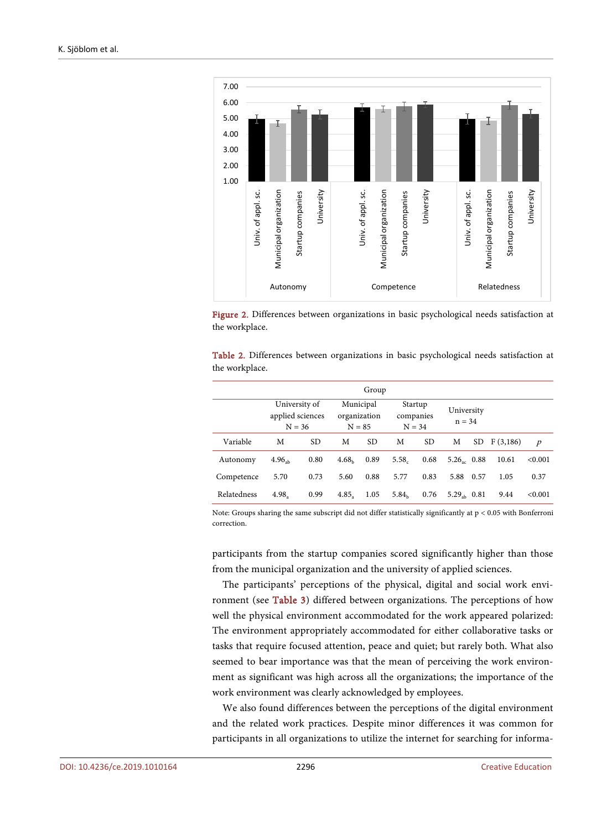<span id="page-13-0"></span>



<span id="page-13-1"></span>

|                |  | Table 2. Differences between organizations in basic psychological needs satisfaction at |  |  |  |
|----------------|--|-----------------------------------------------------------------------------------------|--|--|--|
| the workplace. |  |                                                                                         |  |  |  |

| Group       |                                               |           |                                       |           |                                  |      |                         |      |          |                  |
|-------------|-----------------------------------------------|-----------|---------------------------------------|-----------|----------------------------------|------|-------------------------|------|----------|------------------|
|             | University of<br>applied sciences<br>$N = 36$ |           | Municipal<br>organization<br>$N = 85$ |           | Startup<br>companies<br>$N = 34$ |      | University<br>$n = 34$  |      |          |                  |
| Variable    | M                                             | <b>SD</b> | М                                     | <b>SD</b> | М                                | SD.  | M                       | SD.  | F(3,186) | $\boldsymbol{p}$ |
| Autonomy    | 4.96 <sub>ab</sub>                            | 0.80      | 4.68 <sub>b</sub>                     | 0.89      | 5.58 <sub>c</sub>                | 0.68 | $5.26_x$ 0.88           |      | 10.61    | < 0.001          |
| Competence  | 5.70                                          | 0.73      | 5.60                                  | 0.88      | 5.77                             | 0.83 | 5.88                    | 0.57 | 1.05     | 0.37             |
| Relatedness | 4.98.                                         | 0.99      | 4.85.                                 | 1.05      | 5.84 <sub>b</sub>                | 0.76 | 5.29 <sub>ab</sub> 0.81 |      | 9.44     | <0.001           |

Note: Groups sharing the same subscript did not differ statistically significantly at p < 0.05 with Bonferroni correction.

participants from the startup companies scored significantly higher than those from the municipal organization and the university of applied sciences.

The participants' perceptions of the physical, digital and social work environment (see [Table 3\)](#page-14-0) differed between organizations. The perceptions of how well the physical environment accommodated for the work appeared polarized: The environment appropriately accommodated for either collaborative tasks or tasks that require focused attention, peace and quiet; but rarely both. What also seemed to bear importance was that the mean of perceiving the work environment as significant was high across all the organizations; the importance of the work environment was clearly acknowledged by employees.

We also found differences between the perceptions of the digital environment and the related work practices. Despite minor differences it was common for participants in all organizations to utilize the internet for searching for informa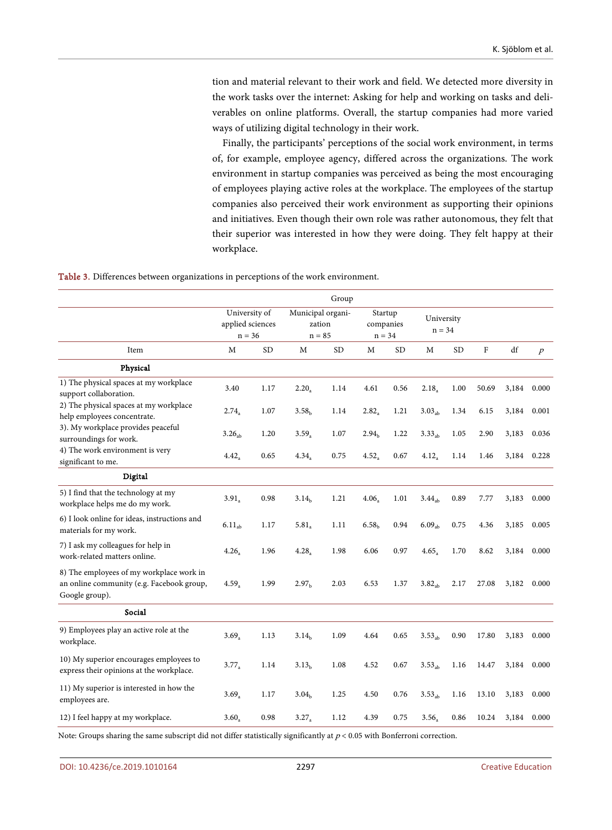tion and material relevant to their work and field. We detected more diversity in the work tasks over the internet: Asking for help and working on tasks and deliverables on online platforms. Overall, the startup companies had more varied ways of utilizing digital technology in their work.

Finally, the participants' perceptions of the social work environment, in terms of, for example, employee agency, differed across the organizations. The work environment in startup companies was perceived as being the most encouraging of employees playing active roles at the workplace. The employees of the startup companies also perceived their work environment as supporting their opinions and initiatives. Even though their own role was rather autonomous, they felt that their superior was interested in how they were doing. They felt happy at their workplace.

<span id="page-14-0"></span>Table 3. Differences between organizations in perceptions of the work environment.

|                                                                                                         |                                               |           |                                         | Group     |                                  |           |                        |           |             |       |                  |
|---------------------------------------------------------------------------------------------------------|-----------------------------------------------|-----------|-----------------------------------------|-----------|----------------------------------|-----------|------------------------|-----------|-------------|-------|------------------|
|                                                                                                         | University of<br>applied sciences<br>$n = 36$ |           | Municipal organi-<br>zation<br>$n = 85$ |           | Startup<br>companies<br>$n = 34$ |           | University<br>$n = 34$ |           |             |       |                  |
| Item                                                                                                    | M                                             | <b>SD</b> | M                                       | <b>SD</b> | M                                | <b>SD</b> | M                      | <b>SD</b> | $\mathbf F$ | df    | $\boldsymbol{p}$ |
| Physical                                                                                                |                                               |           |                                         |           |                                  |           |                        |           |             |       |                  |
| 1) The physical spaces at my workplace<br>support collaboration.                                        | 3.40                                          | 1.17      | $2.20_a$                                | 1.14      | 4.61                             | 0.56      | 2.18 <sub>a</sub>      | 1.00      | 50.69       | 3,184 | 0.000            |
| 2) The physical spaces at my workplace<br>help employees concentrate.                                   | $2.74_a$                                      | 1.07      | 3.58 <sub>h</sub>                       | 1.14      | $2.82_a$                         | 1.21      | $3.03_{ab}$            | 1.34      | 6.15        | 3,184 | 0.001            |
| 3). My workplace provides peaceful<br>surroundings for work.                                            | $3.26_{\rm ab}$                               | 1.20      | $3.59_a$                                | 1.07      | 2.94 <sub>b</sub>                | 1.22      | 3.33 <sub>ab</sub>     | 1.05      | 2.90        | 3,183 | 0.036            |
| 4) The work environment is very<br>significant to me.                                                   | $4.42_a$                                      | 0.65      | 4.34 <sub>a</sub>                       | 0.75      | $4.52_a$                         | 0.67      | $4.12_a$               | 1.14      | 1.46        | 3,184 | 0.228            |
| Digital                                                                                                 |                                               |           |                                         |           |                                  |           |                        |           |             |       |                  |
| 5) I find that the technology at my<br>workplace helps me do my work.                                   | $3.91_a$                                      | 0.98      | 3.14 <sub>b</sub>                       | 1.21      | 4.06 <sub>a</sub>                | 1.01      | 3.44 <sub>ab</sub>     | 0.89      | 7.77        | 3,183 | 0.000            |
| 6) I look online for ideas, instructions and<br>materials for my work.                                  | 6.11 <sub>ab</sub>                            | 1.17      | $5.81_a$                                | 1.11      | 6.58 <sub>b</sub>                | 0.94      | $6.09_{ab}$            | 0.75      | 4.36        | 3,185 | 0.005            |
| 7) I ask my colleagues for help in<br>work-related matters online.                                      | 4.26                                          | 1.96      | $4.28_a$                                | 1.98      | 6.06                             | 0.97      | 4.65 <sub>a</sub>      | 1.70      | 8.62        | 3,184 | 0.000            |
| 8) The employees of my workplace work in<br>an online community (e.g. Facebook group,<br>Google group). | 4.59 <sub>a</sub>                             | 1.99      | 2.97 <sub>b</sub>                       | 2.03      | 6.53                             | 1.37      | $3.82_{ab}$            | 2.17      | 27.08       | 3,182 | 0.000            |
| Social                                                                                                  |                                               |           |                                         |           |                                  |           |                        |           |             |       |                  |
| 9) Employees play an active role at the<br>workplace.                                                   | $3.69_a$                                      | 1.13      | 3.14 <sub>b</sub>                       | 1.09      | 4.64                             | 0.65      | $3.53_{ab}$            | 0.90      | 17.80       | 3,183 | 0.000            |
| 10) My superior encourages employees to<br>express their opinions at the workplace.                     | $3.77_a$                                      | 1.14      | 3.13 <sub>h</sub>                       | 1.08      | 4.52                             | 0.67      | $3.53_{ab}$            | 1.16      | 14.47       | 3,184 | 0.000            |
| 11) My superior is interested in how the<br>employees are.                                              | $3.69_a$                                      | 1.17      | 3.04 <sub>h</sub>                       | 1.25      | 4.50                             | 0.76      | $3.53_{ab}$            | 1.16      | 13.10       | 3,183 | 0.000            |
| 12) I feel happy at my workplace.                                                                       | $3.60_a$                                      | 0.98      | $3.27_a$                                | 1.12      | 4.39                             | 0.75      | 3.56 <sub>a</sub>      | 0.86      | 10.24       | 3,184 | 0.000            |

Note: Groups sharing the same subscript did not differ statistically significantly at  $p < 0.05$  with Bonferroni correction.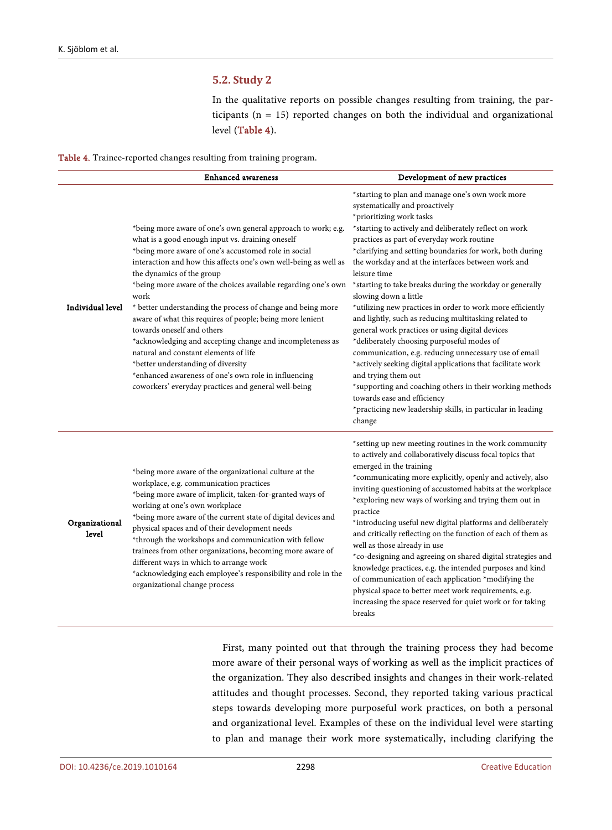# **5.2. Study 2**

In the qualitative reports on possible changes resulting from training, the participants (n = 15) reported changes on both the individual and organizational level [\(Table 4\)](#page-15-0).

<span id="page-15-0"></span>

|  |  |  | Table 4. Trainee-reported changes resulting from training program. |
|--|--|--|--------------------------------------------------------------------|
|  |  |  |                                                                    |

|                         | <b>Enhanced</b> awareness                                                                                                                                                                                                                                                                                                                                                                                                                                                                                                                                                                                                                                                                                                                                                  | Development of new practices                                                                                                                                                                                                                                                                                                                                                                                                                                                                                                                                                                                                                                                                                                                                                                                                                                                                                                                                                             |
|-------------------------|----------------------------------------------------------------------------------------------------------------------------------------------------------------------------------------------------------------------------------------------------------------------------------------------------------------------------------------------------------------------------------------------------------------------------------------------------------------------------------------------------------------------------------------------------------------------------------------------------------------------------------------------------------------------------------------------------------------------------------------------------------------------------|------------------------------------------------------------------------------------------------------------------------------------------------------------------------------------------------------------------------------------------------------------------------------------------------------------------------------------------------------------------------------------------------------------------------------------------------------------------------------------------------------------------------------------------------------------------------------------------------------------------------------------------------------------------------------------------------------------------------------------------------------------------------------------------------------------------------------------------------------------------------------------------------------------------------------------------------------------------------------------------|
| <b>Individual level</b> | *being more aware of one's own general approach to work; e.g.<br>what is a good enough input vs. draining oneself<br>*being more aware of one's accustomed role in social<br>interaction and how this affects one's own well-being as well as<br>the dynamics of the group<br>*being more aware of the choices available regarding one's own<br>work<br>* better understanding the process of change and being more<br>aware of what this requires of people; being more lenient<br>towards oneself and others<br>*acknowledging and accepting change and incompleteness as<br>natural and constant elements of life<br>*better understanding of diversity<br>*enhanced awareness of one's own role in influencing<br>coworkers' everyday practices and general well-being | *starting to plan and manage one's own work more<br>systematically and proactively<br>*prioritizing work tasks<br>*starting to actively and deliberately reflect on work<br>practices as part of everyday work routine<br>*clarifying and setting boundaries for work, both during<br>the workday and at the interfaces between work and<br>leisure time<br>*starting to take breaks during the workday or generally<br>slowing down a little<br>*utilizing new practices in order to work more efficiently<br>and lightly, such as reducing multitasking related to<br>general work practices or using digital devices<br>*deliberately choosing purposeful modes of<br>communication, e.g. reducing unnecessary use of email<br>*actively seeking digital applications that facilitate work<br>and trying them out<br>*supporting and coaching others in their working methods<br>towards ease and efficiency<br>*practicing new leadership skills, in particular in leading<br>change |
| Organizational<br>level | *being more aware of the organizational culture at the<br>workplace, e.g. communication practices<br>*being more aware of implicit, taken-for-granted ways of<br>working at one's own workplace<br>*being more aware of the current state of digital devices and<br>physical spaces and of their development needs<br>*through the workshops and communication with fellow<br>trainees from other organizations, becoming more aware of<br>different ways in which to arrange work<br>*acknowledging each employee's responsibility and role in the<br>organizational change process                                                                                                                                                                                       | *setting up new meeting routines in the work community<br>to actively and collaboratively discuss focal topics that<br>emerged in the training<br>*communicating more explicitly, openly and actively, also<br>inviting questioning of accustomed habits at the workplace<br>*exploring new ways of working and trying them out in<br>practice<br>*introducing useful new digital platforms and deliberately<br>and critically reflecting on the function of each of them as<br>well as those already in use<br>*co-designing and agreeing on shared digital strategies and<br>knowledge practices, e.g. the intended purposes and kind<br>of communication of each application *modifying the<br>physical space to better meet work requirements, e.g.<br>increasing the space reserved for quiet work or for taking<br>breaks                                                                                                                                                          |

First, many pointed out that through the training process they had become more aware of their personal ways of working as well as the implicit practices of the organization. They also described insights and changes in their work-related attitudes and thought processes. Second, they reported taking various practical steps towards developing more purposeful work practices, on both a personal and organizational level. Examples of these on the individual level were starting to plan and manage their work more systematically, including clarifying the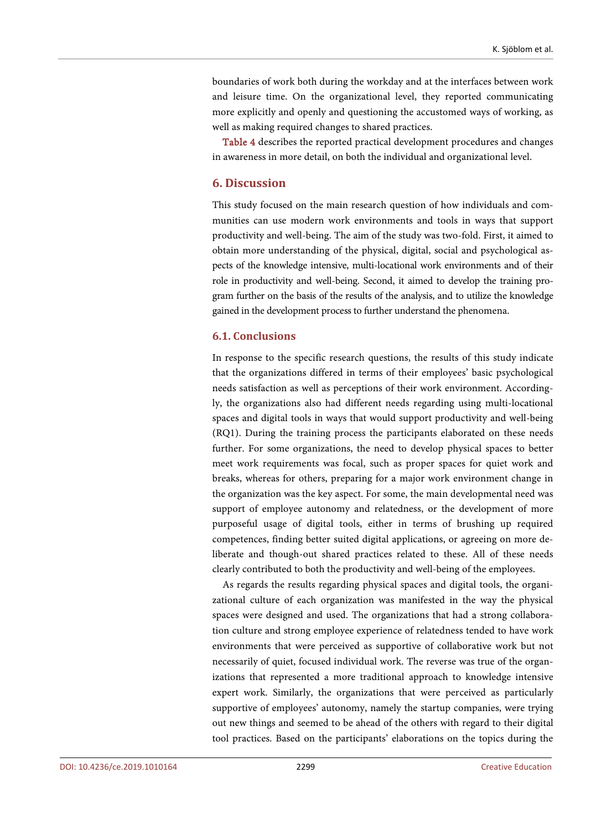boundaries of work both during the workday and at the interfaces between work and leisure time. On the organizational level, they reported communicating more explicitly and openly and questioning the accustomed ways of working, as well as making required changes to shared practices.

[Table 4](#page-15-0) describes the reported practical development procedures and changes in awareness in more detail, on both the individual and organizational level.

# **6. Discussion**

This study focused on the main research question of how individuals and communities can use modern work environments and tools in ways that support productivity and well-being. The aim of the study was two-fold. First, it aimed to obtain more understanding of the physical, digital, social and psychological aspects of the knowledge intensive, multi-locational work environments and of their role in productivity and well-being. Second, it aimed to develop the training program further on the basis of the results of the analysis, and to utilize the knowledge gained in the development process to further understand the phenomena.

#### **6.1. Conclusions**

In response to the specific research questions, the results of this study indicate that the organizations differed in terms of their employees' basic psychological needs satisfaction as well as perceptions of their work environment. Accordingly, the organizations also had different needs regarding using multi-locational spaces and digital tools in ways that would support productivity and well-being (RQ1). During the training process the participants elaborated on these needs further. For some organizations, the need to develop physical spaces to better meet work requirements was focal, such as proper spaces for quiet work and breaks, whereas for others, preparing for a major work environment change in the organization was the key aspect. For some, the main developmental need was support of employee autonomy and relatedness, or the development of more purposeful usage of digital tools, either in terms of brushing up required competences, finding better suited digital applications, or agreeing on more deliberate and though-out shared practices related to these. All of these needs clearly contributed to both the productivity and well-being of the employees.

As regards the results regarding physical spaces and digital tools, the organizational culture of each organization was manifested in the way the physical spaces were designed and used. The organizations that had a strong collaboration culture and strong employee experience of relatedness tended to have work environments that were perceived as supportive of collaborative work but not necessarily of quiet, focused individual work. The reverse was true of the organizations that represented a more traditional approach to knowledge intensive expert work. Similarly, the organizations that were perceived as particularly supportive of employees' autonomy, namely the startup companies, were trying out new things and seemed to be ahead of the others with regard to their digital tool practices. Based on the participants' elaborations on the topics during the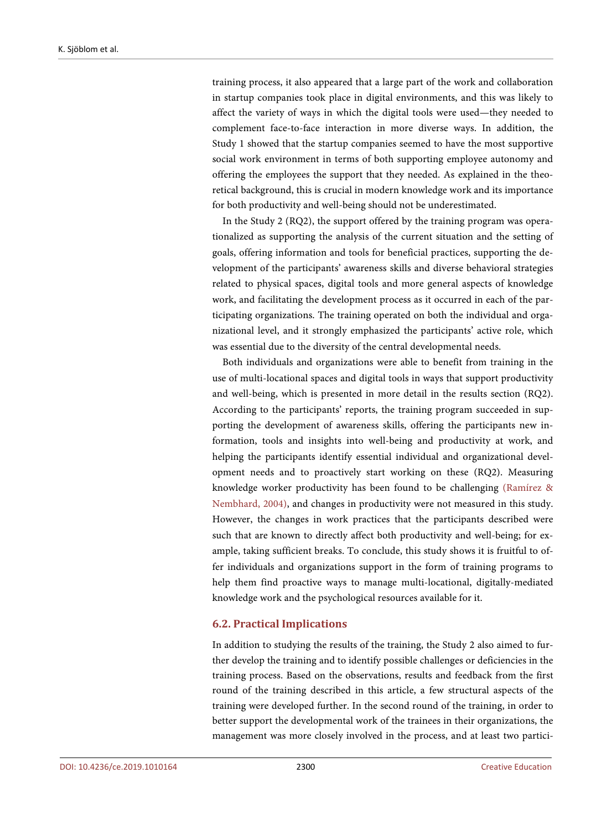training process, it also appeared that a large part of the work and collaboration in startup companies took place in digital environments, and this was likely to affect the variety of ways in which the digital tools were used—they needed to complement face-to-face interaction in more diverse ways. In addition, the Study 1 showed that the startup companies seemed to have the most supportive social work environment in terms of both supporting employee autonomy and offering the employees the support that they needed. As explained in the theoretical background, this is crucial in modern knowledge work and its importance for both productivity and well-being should not be underestimated.

In the Study 2 (RQ2), the support offered by the training program was operationalized as supporting the analysis of the current situation and the setting of goals, offering information and tools for beneficial practices, supporting the development of the participants' awareness skills and diverse behavioral strategies related to physical spaces, digital tools and more general aspects of knowledge work, and facilitating the development process as it occurred in each of the participating organizations. The training operated on both the individual and organizational level, and it strongly emphasized the participants' active role, which was essential due to the diversity of the central developmental needs.

Both individuals and organizations were able to benefit from training in the use of multi-locational spaces and digital tools in ways that support productivity and well-being, which is presented in more detail in the results section (RQ2). According to the participants' reports, the training program succeeded in supporting the development of awareness skills, offering the participants new information, tools and insights into well-being and productivity at work, and helping the participants identify essential individual and organizational development needs and to proactively start working on these (RQ2). Measuring knowledge worker productivity has been found to be challenging [\(Ramírez](#page-23-5) & [Nembhard, 2004\),](#page-23-5) and changes in productivity were not measured in this study. However, the changes in work practices that the participants described were such that are known to directly affect both productivity and well-being; for example, taking sufficient breaks. To conclude, this study shows it is fruitful to offer individuals and organizations support in the form of training programs to help them find proactive ways to manage multi-locational, digitally-mediated knowledge work and the psychological resources available for it.

# **6.2. Practical Implications**

In addition to studying the results of the training, the Study 2 also aimed to further develop the training and to identify possible challenges or deficiencies in the training process. Based on the observations, results and feedback from the first round of the training described in this article, a few structural aspects of the training were developed further. In the second round of the training, in order to better support the developmental work of the trainees in their organizations, the management was more closely involved in the process, and at least two partici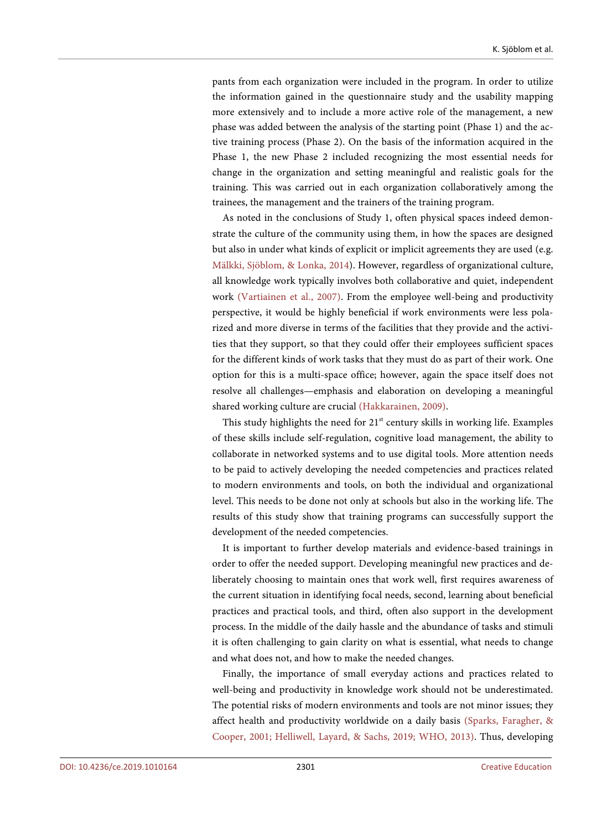pants from each organization were included in the program. In order to utilize the information gained in the questionnaire study and the usability mapping more extensively and to include a more active role of the management, a new phase was added between the analysis of the starting point (Phase 1) and the active training process (Phase 2). On the basis of the information acquired in the Phase 1, the new Phase 2 included recognizing the most essential needs for change in the organization and setting meaningful and realistic goals for the training. This was carried out in each organization collaboratively among the trainees, the management and the trainers of the training program.

As noted in the conclusions of Study 1, often physical spaces indeed demonstrate the culture of the community using them, in how the spaces are designed but also in under what kinds of explicit or implicit agreements they are used (e.g. [Mälkki, Sjöblom,](#page-23-14) & Lonka, 2014). However, regardless of organizational culture, all knowledge work typically involves both collaborative and quiet, independent work (Vartiainen [et al., 2007\).](#page-24-13) From the employee well-being and productivity perspective, it would be highly beneficial if work environments were less polarized and more diverse in terms of the facilities that they provide and the activities that they support, so that they could offer their employees sufficient spaces for the different kinds of work tasks that they must do as part of their work. One option for this is a multi-space office; however, again the space itself does not resolve all challenges—emphasis and elaboration on developing a meaningful shared working culture are crucial [\(Hakkarainen,](#page-22-15) 2009).

This study highlights the need for 21<sup>st</sup> century skills in working life. Examples of these skills include self-regulation, cognitive load management, the ability to collaborate in networked systems and to use digital tools. More attention needs to be paid to actively developing the needed competencies and practices related to modern environments and tools, on both the individual and organizational level. This needs to be done not only at schools but also in the working life. The results of this study show that training programs can successfully support the development of the needed competencies.

It is important to further develop materials and evidence-based trainings in order to offer the needed support. Developing meaningful new practices and deliberately choosing to maintain ones that work well, first requires awareness of the current situation in identifying focal needs, second, learning about beneficial practices and practical tools, and third, often also support in the development process. In the middle of the daily hassle and the abundance of tasks and stimuli it is often challenging to gain clarity on what is essential, what needs to change and what does not, and how to make the needed changes.

Finally, the importance of small everyday actions and practices related to well-being and productivity in knowledge work should not be underestimated. The potential risks of modern environments and tools are not minor issues; they affect health and productivity worldwide on a daily basis [\(Sparks, Faragher,](#page-24-0) & [Cooper, 2001;](#page-24-0) [Helliwell, Layard,](#page-22-16) & Sachs, 2019; [WHO, 2013\).](#page-24-5) Thus, developing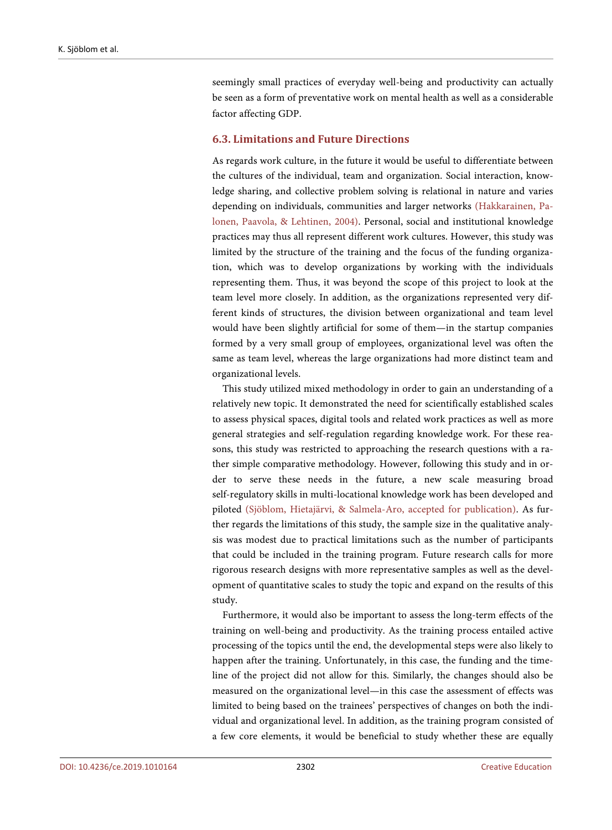seemingly small practices of everyday well-being and productivity can actually be seen as a form of preventative work on mental health as well as a considerable factor affecting GDP.

## **6.3. Limitations and Future Directions**

As regards work culture, in the future it would be useful to differentiate between the cultures of the individual, team and organization. Social interaction, knowledge sharing, and collective problem solving is relational in nature and varies depending on individuals, communities and larger networks [\(Hakkarainen, Pa](#page-22-4)lonen, Paavola, [& Lehtinen, 2004\).](#page-22-4) Personal, social and institutional knowledge practices may thus all represent different work cultures. However, this study was limited by the structure of the training and the focus of the funding organization, which was to develop organizations by working with the individuals representing them. Thus, it was beyond the scope of this project to look at the team level more closely. In addition, as the organizations represented very different kinds of structures, the division between organizational and team level would have been slightly artificial for some of them—in the startup companies formed by a very small group of employees, organizational level was often the same as team level, whereas the large organizations had more distinct team and organizational levels.

This study utilized mixed methodology in order to gain an understanding of a relatively new topic. It demonstrated the need for scientifically established scales to assess physical spaces, digital tools and related work practices as well as more general strategies and self-regulation regarding knowledge work. For these reasons, this study was restricted to approaching the research questions with a rather simple comparative methodology. However, following this study and in order to serve these needs in the future, a new scale measuring broad self-regulatory skills in multi-locational knowledge work has been developed and piloted (Sjöblom, Hietajärvi, [& Salmela-Aro, accepted for publication\).](#page-24-14) As further regards the limitations of this study, the sample size in the qualitative analysis was modest due to practical limitations such as the number of participants that could be included in the training program. Future research calls for more rigorous research designs with more representative samples as well as the development of quantitative scales to study the topic and expand on the results of this study.

Furthermore, it would also be important to assess the long-term effects of the training on well-being and productivity. As the training process entailed active processing of the topics until the end, the developmental steps were also likely to happen after the training. Unfortunately, in this case, the funding and the timeline of the project did not allow for this. Similarly, the changes should also be measured on the organizational level—in this case the assessment of effects was limited to being based on the trainees' perspectives of changes on both the individual and organizational level. In addition, as the training program consisted of a few core elements, it would be beneficial to study whether these are equally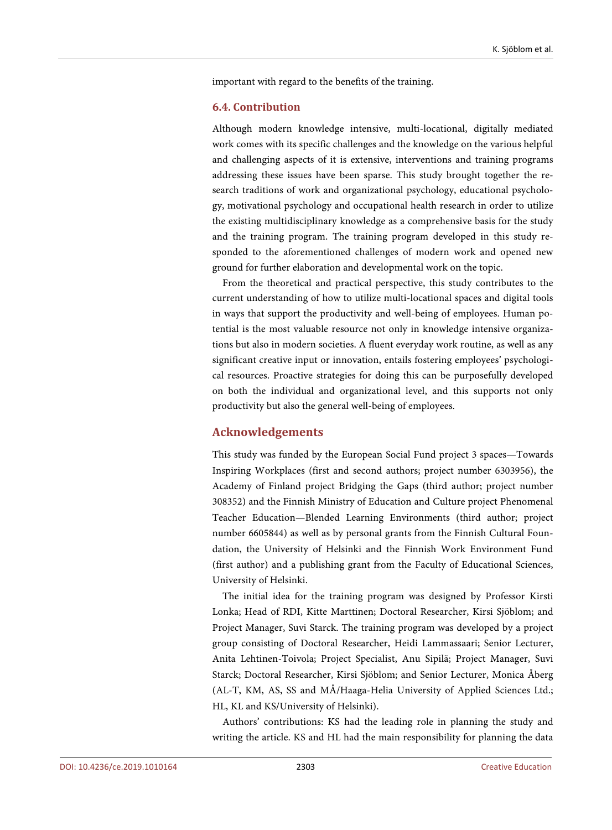important with regard to the benefits of the training.

## **6.4. Contribution**

Although modern knowledge intensive, multi-locational, digitally mediated work comes with its specific challenges and the knowledge on the various helpful and challenging aspects of it is extensive, interventions and training programs addressing these issues have been sparse. This study brought together the research traditions of work and organizational psychology, educational psychology, motivational psychology and occupational health research in order to utilize the existing multidisciplinary knowledge as a comprehensive basis for the study and the training program. The training program developed in this study responded to the aforementioned challenges of modern work and opened new ground for further elaboration and developmental work on the topic.

From the theoretical and practical perspective, this study contributes to the current understanding of how to utilize multi-locational spaces and digital tools in ways that support the productivity and well-being of employees. Human potential is the most valuable resource not only in knowledge intensive organizations but also in modern societies. A fluent everyday work routine, as well as any significant creative input or innovation, entails fostering employees' psychological resources. Proactive strategies for doing this can be purposefully developed on both the individual and organizational level, and this supports not only productivity but also the general well-being of employees.

# **Acknowledgements**

This study was funded by the European Social Fund project 3 spaces—Towards Inspiring Workplaces (first and second authors; project number 6303956), the Academy of Finland project Bridging the Gaps (third author; project number 308352) and the Finnish Ministry of Education and Culture project Phenomenal Teacher Education—Blended Learning Environments (third author; project number 6605844) as well as by personal grants from the Finnish Cultural Foundation, the University of Helsinki and the Finnish Work Environment Fund (first author) and a publishing grant from the Faculty of Educational Sciences, University of Helsinki.

The initial idea for the training program was designed by Professor Kirsti Lonka; Head of RDI, Kitte Marttinen; Doctoral Researcher, Kirsi Sjöblom; and Project Manager, Suvi Starck. The training program was developed by a project group consisting of Doctoral Researcher, Heidi Lammassaari; Senior Lecturer, Anita Lehtinen-Toivola; Project Specialist, Anu Sipilä; Project Manager, Suvi Starck; Doctoral Researcher, Kirsi Sjöblom; and Senior Lecturer, Monica Åberg (AL-T, KM, AS, SS and MÅ/Haaga-Helia University of Applied Sciences Ltd.; HL, KL and KS/University of Helsinki).

Authors' contributions: KS had the leading role in planning the study and writing the article. KS and HL had the main responsibility for planning the data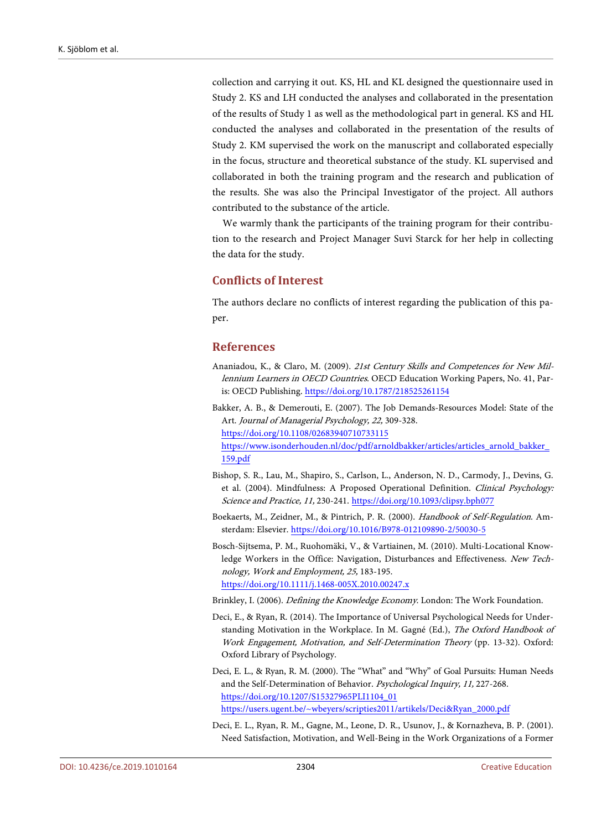collection and carrying it out. KS, HL and KL designed the questionnaire used in Study 2. KS and LH conducted the analyses and collaborated in the presentation of the results of Study 1 as well as the methodological part in general. KS and HL conducted the analyses and collaborated in the presentation of the results of Study 2. KM supervised the work on the manuscript and collaborated especially in the focus, structure and theoretical substance of the study. KL supervised and collaborated in both the training program and the research and publication of the results. She was also the Principal Investigator of the project. All authors contributed to the substance of the article.

We warmly thank the participants of the training program for their contribution to the research and Project Manager Suvi Starck for her help in collecting the data for the study.

# **Conflicts of Interest**

The authors declare no conflicts of interest regarding the publication of this paper.

# **References**

- <span id="page-21-4"></span>Ananiadou, K., & Claro, M. (2009). 21st Century Skills and Competences for New Millennium Learners in OECD Countries. OECD Education Working Papers, No. 41, Paris: OECD Publishing. <https://doi.org/10.1787/218525261154>
- <span id="page-21-7"></span>Bakker, A. B., & Demerouti, E. (2007). The Job Demands-Resources Model: State of the Art. Journal of Managerial Psychology, 22, 309-328. <https://doi.org/10.1108/02683940710733115> [https://www.isonderhouden.nl/doc/pdf/arnoldbakker/articles/articles\\_arnold\\_bakker\\_](https://www.isonderhouden.nl/doc/pdf/arnoldbakker/articles/articles_arnold_bakker_159.pdf) [159.pdf](https://www.isonderhouden.nl/doc/pdf/arnoldbakker/articles/articles_arnold_bakker_159.pdf)
- <span id="page-21-3"></span>Bishop, S. R., Lau, M., Shapiro, S., Carlson, L., Anderson, N. D., Carmody, J., Devins, G. et al. (2004). Mindfulness: A Proposed Operational Definition. Clinical Psychology: Science and Practice, 11, 230-241. <https://doi.org/10.1093/clipsy.bph077>
- <span id="page-21-2"></span>Boekaerts, M., Zeidner, M., & Pintrich, P. R. (2000). Handbook of Self-Regulation. Amsterdam: Elsevier. <https://doi.org/10.1016/B978-012109890-2/50030-5>
- <span id="page-21-1"></span>Bosch-Sijtsema, P. M., Ruohomäki, V., & Vartiainen, M. (2010). Multi-Locational Knowledge Workers in the Office: Navigation, Disturbances and Effectiveness. New Technology, Work and Employment, 25, 183-195. <https://doi.org/10.1111/j.1468-005X.2010.00247.x>
	-
- <span id="page-21-5"></span><span id="page-21-0"></span>Brinkley, I. (2006). Defining the Knowledge Economy. London: The Work Foundation. Deci, E., & Ryan, R. (2014). The Importance of Universal Psychological Needs for Under-
- standing Motivation in the Workplace. In M. Gagné (Ed.), The Oxford Handbook of Work Engagement, Motivation, and Self-Determination Theory (pp. 13-32). Oxford: Oxford Library of Psychology.
- <span id="page-21-6"></span>Deci, E. L., & Ryan, R. M. (2000). The "What" and "Why" of Goal Pursuits: Human Needs and the Self-Determination of Behavior. Psychological Inquiry, 11, 227-268. [https://doi.org/10.1207/S15327965PLI1104\\_01](https://doi.org/10.1207/S15327965PLI1104_01) [https://users.ugent.be/~wbeyers/scripties2011/artikels/Deci&Ryan\\_2000.pdf](https://users.ugent.be/%7Ewbeyers/scripties2011/artikels/Deci&Ryan_2000.pdf)
- <span id="page-21-8"></span>Deci, E. L., Ryan, R. M., Gagne, M., Leone, D. R., Usunov, J., & Kornazheva, B. P. (2001). Need Satisfaction, Motivation, and Well-Being in the Work Organizations of a Former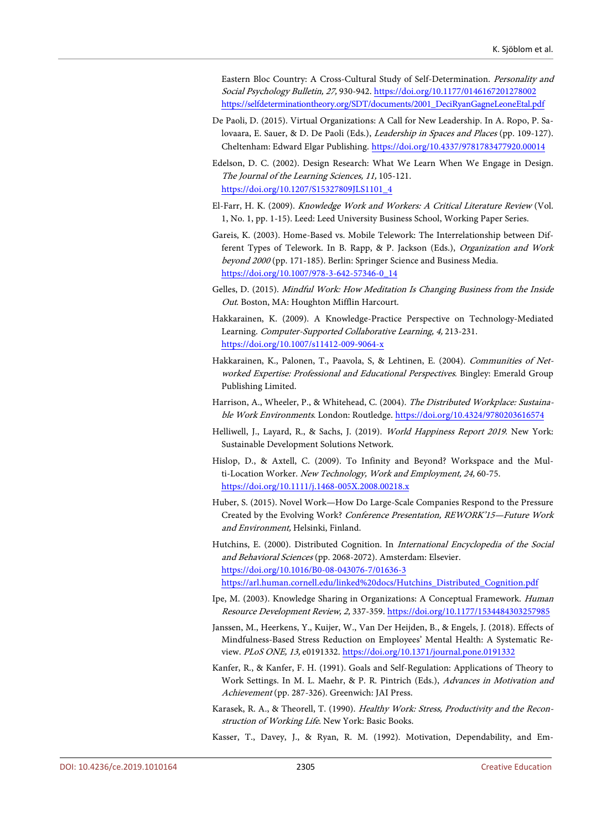Eastern Bloc Country: A Cross-Cultural Study of Self-Determination. Personality and Social Psychology Bulletin, 27, 930-942. <https://doi.org/10.1177/0146167201278002> [https://selfdeterminationtheory.org/SDT/documents/2001\\_DeciRyanGagneLeoneEtal.pdf](https://selfdeterminationtheory.org/SDT/documents/2001_DeciRyanGagneLeoneEtal.pdf)

- <span id="page-22-7"></span>De Paoli, D. (2015). Virtual Organizations: A Call for New Leadership. In A. Ropo, P. Salovaara, E. Sauer, & D. De Paoli (Eds.), Leadership in Spaces and Places (pp. 109-127). Cheltenham: Edward Elgar Publishing. <https://doi.org/10.4337/9781783477920.00014>
- <span id="page-22-13"></span>Edelson, D. C. (2002). Design Research: What We Learn When We Engage in Design. The Journal of the Learning Sciences, 11, 105-121. [https://doi.org/10.1207/S15327809JLS1101\\_4](https://doi.org/10.1207/S15327809JLS1101_4)
- <span id="page-22-11"></span>El-Farr, H. K. (2009). Knowledge Work and Workers: A Critical Literature Review (Vol. 1, No. 1, pp. 1-15). Leed: Leed University Business School, Working Paper Series.
- <span id="page-22-12"></span>Gareis, K. (2003). Home-Based vs. Mobile Telework: The Interrelationship between Different Types of Telework. In B. Rapp, & P. Jackson (Eds.), Organization and Work beyond 2000 (pp. 171-185). Berlin: Springer Science and Business Media. [https://doi.org/10.1007/978-3-642-57346-0\\_14](https://doi.org/10.1007/978-3-642-57346-0_14)
- <span id="page-22-4"></span>Gelles, D. (2015). Mindful Work: How Meditation Is Changing Business from the Inside Out. Boston, MA: Houghton Mifflin Harcourt.
- <span id="page-22-15"></span>Hakkarainen, K. (2009). A Knowledge-Practice Perspective on Technology-Mediated Learning. Computer-Supported Collaborative Learning, 4, 213-231. <https://doi.org/10.1007/s11412-009-9064-x>
- <span id="page-22-0"></span>Hakkarainen, K., Palonen, T., Paavola, S, & Lehtinen, E. (2004). Communities of Networked Expertise: Professional and Educational Perspectives. Bingley: Emerald Group Publishing Limited.
- <span id="page-22-5"></span>Harrison, A., Wheeler, P., & Whitehead, C. (2004). The Distributed Workplace: Sustainable Work Environments. London: Routledge. <https://doi.org/10.4324/9780203616574>
- <span id="page-22-16"></span>Helliwell, J., Layard, R., & Sachs, J. (2019). World Happiness Report 2019. New York: Sustainable Development Solutions Network.
- <span id="page-22-1"></span>Hislop, D., & Axtell, C. (2009). To Infinity and Beyond? Workspace and the Multi-Location Worker. New Technology, Work and Employment, 24, 60-75. <https://doi.org/10.1111/j.1468-005X.2008.00218.x>
- <span id="page-22-9"></span>Huber, S. (2015). Novel Work—How Do Large-Scale Companies Respond to the Pressure Created by the Evolving Work? Conference Presentation, REWORK'15—Future Work and Environment, Helsinki, Finland.
- <span id="page-22-10"></span>Hutchins, E. (2000). Distributed Cognition. In International Encyclopedia of the Social and Behavioral Sciences (pp. 2068-2072). Amsterdam: Elsevier. <https://doi.org/10.1016/B0-08-043076-7/01636-3> [https://arl.human.cornell.edu/linked%20docs/Hutchins\\_Distributed\\_Cognition.pdf](https://arl.human.cornell.edu/linked%20docs/Hutchins_Distributed_Cognition.pdf)
- <span id="page-22-8"></span>Ipe, M. (2003). Knowledge Sharing in Organizations: A Conceptual Framework. Human Resource Development Review, 2, 337-359. <https://doi.org/10.1177/1534484303257985>
- <span id="page-22-3"></span>Janssen, M., Heerkens, Y., Kuijer, W., Van Der Heijden, B., & Engels, J. (2018). Effects of Mindfulness-Based Stress Reduction on Employees' Mental Health: A Systematic Review. PLoS ONE, 13, e0191332. <https://doi.org/10.1371/journal.pone.0191332>
- <span id="page-22-2"></span>Kanfer, R., & Kanfer, F. H. (1991). Goals and Self-Regulation: Applications of Theory to Work Settings. In M. L. Maehr, & P. R. Pintrich (Eds.), Advances in Motivation and Achievement (pp. 287-326). Greenwich: JAI Press.
- <span id="page-22-6"></span>Karasek, R. A., & Theorell, T. (1990). Healthy Work: Stress, Productivity and the Reconstruction of Working Life. New York: Basic Books.
- <span id="page-22-14"></span>Kasser, T., Davey, J., & Ryan, R. M. (1992). Motivation, Dependability, and Em-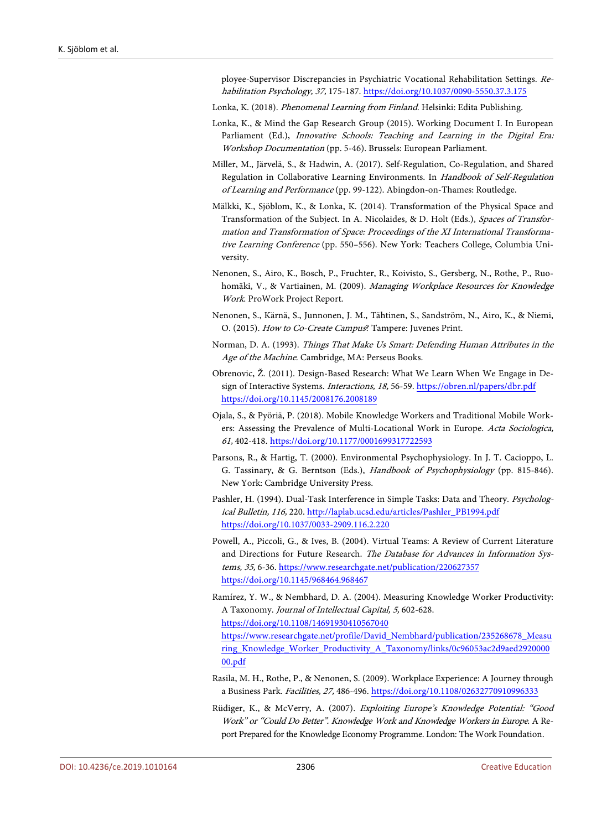ployee-Supervisor Discrepancies in Psychiatric Vocational Rehabilitation Settings. Rehabilitation Psychology, 37, 175-187. <https://doi.org/10.1037/0090-5550.37.3.175>

- <span id="page-23-2"></span>Lonka, K. (2018). Phenomenal Learning from Finland. Helsinki: Edita Publishing.
- <span id="page-23-6"></span>Lonka, K., & Mind the Gap Research Group (2015). Working Document I. In European Parliament (Ed.), Innovative Schools: Teaching and Learning in the Digital Era: Workshop Documentation (pp. 5-46). Brussels: European Parliament.
- <span id="page-23-11"></span>Miller, M., Järvelä, S., & Hadwin, A. (2017). Self-Regulation, Co-Regulation, and Shared Regulation in Collaborative Learning Environments. In Handbook of Self-Regulation of Learning and Performance (pp. 99-122). Abingdon-on-Thames: Routledge.
- <span id="page-23-14"></span>Mälkki, K., Sjöblom, K., & Lonka, K. (2014). Transformation of the Physical Space and Transformation of the Subject. In A. Nicolaides, & D. Holt (Eds.), Spaces of Transformation and Transformation of Space: Proceedings of the XI International Transformative Learning Conference (pp. 550–556). New York: Teachers College, Columbia University.
- <span id="page-23-4"></span>Nenonen, S., Airo, K., Bosch, P., Fruchter, R., Koivisto, S., Gersberg, N., Rothe, P., Ruohomäki, V., & Vartiainen, M. (2009). Managing Workplace Resources for Knowledge Work. ProWork Project Report.
- <span id="page-23-8"></span>Nenonen, S., Kärnä, S., Junnonen, J. M., Tähtinen, S., Sandström, N., Airo, K., & Niemi, O. (2015). How to Co-Create Campus? Tampere: Juvenes Print.
- <span id="page-23-10"></span>Norman, D. A. (1993). Things That Make Us Smart: Defending Human Attributes in the Age of the Machine. Cambridge, MA: Perseus Books.
- <span id="page-23-12"></span>Obrenovic, Ž. (2011). Design-Based Research: What We Learn When We Engage in Design of Interactive Systems. Interactions, 18, 56-59. <https://obren.nl/papers/dbr.pdf> <https://doi.org/10.1145/2008176.2008189>
- <span id="page-23-0"></span>Ojala, S., & Pyöriä, P. (2018). Mobile Knowledge Workers and Traditional Mobile Workers: Assessing the Prevalence of Multi-Locational Work in Europe. Acta Sociologica, 61, 402-418. <https://doi.org/10.1177/0001699317722593>
- <span id="page-23-9"></span>Parsons, R., & Hartig, T. (2000). Environmental Psychophysiology. In J. T. Cacioppo, L. G. Tassinary, & G. Berntson (Eds.), Handbook of Psychophysiology (pp. 815-846). New York: Cambridge University Press.
- <span id="page-23-3"></span>Pashler, H. (1994). Dual-Task Interference in Simple Tasks: Data and Theory. Psychological Bulletin, 116, 220. [http://laplab.ucsd.edu/articles/Pashler\\_PB1994.pdf](http://laplab.ucsd.edu/articles/Pashler_PB1994.pdf) <https://doi.org/10.1037/0033-2909.116.2.220>
- <span id="page-23-7"></span>Powell, A., Piccoli, G., & Ives, B. (2004). Virtual Teams: A Review of Current Literature and Directions for Future Research. The Database for Advances in Information Systems, 35, 6-36[. https://www.researchgate.net/publication/220627357](https://www.researchgate.net/publication/220627357) <https://doi.org/10.1145/968464.968467>
- <span id="page-23-5"></span>Ramírez, Y. W., & Nembhard, D. A. (2004). Measuring Knowledge Worker Productivity: A Taxonomy. Journal of Intellectual Capital, 5, 602-628. <https://doi.org/10.1108/14691930410567040> [https://www.researchgate.net/profile/David\\_Nembhard/publication/235268678\\_Measu](https://www.researchgate.net/profile/David_Nembhard/publication/235268678_Measuring_Knowledge_Worker_Productivity_A_Taxonomy/links/0c96053ac2d9aed292000000.pdf) [ring\\_Knowledge\\_Worker\\_Productivity\\_A\\_Taxonomy/links/0c96053ac2d9aed2920000](https://www.researchgate.net/profile/David_Nembhard/publication/235268678_Measuring_Knowledge_Worker_Productivity_A_Taxonomy/links/0c96053ac2d9aed292000000.pdf) [00.pdf](https://www.researchgate.net/profile/David_Nembhard/publication/235268678_Measuring_Knowledge_Worker_Productivity_A_Taxonomy/links/0c96053ac2d9aed292000000.pdf)
- <span id="page-23-13"></span>Rasila, M. H., Rothe, P., & Nenonen, S. (2009). Workplace Experience: A Journey through a Business Park. Facilities, 27, 486-496. <https://doi.org/10.1108/02632770910996333>
- <span id="page-23-1"></span>Rüdiger, K., & McVerry, A. (2007). Exploiting Europe's Knowledge Potential: "Good Work" or "Could Do Better". Knowledge Work and Knowledge Workers in Europe. A Report Prepared for the Knowledge Economy Programme. London: The Work Foundation.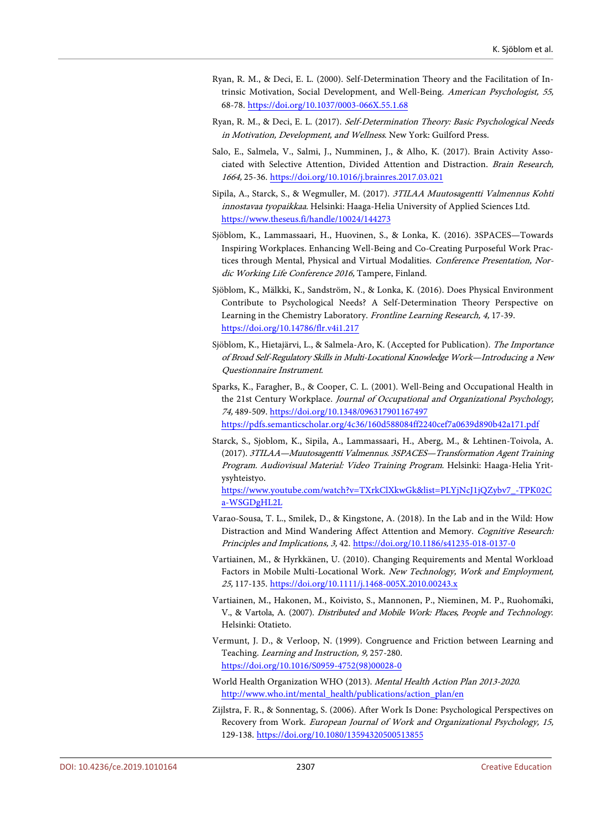- <span id="page-24-7"></span>Ryan, R. M., & Deci, E. L. (2000). Self-Determination Theory and the Facilitation of Intrinsic Motivation, Social Development, and Well-Being. American Psychologist, 55, 68-78. <https://doi.org/10.1037/0003-066X.55.1.68>
- <span id="page-24-8"></span>Ryan, R. M., & Deci, E. L. (2017). Self-Determination Theory: Basic Psychological Needs in Motivation, Development, and Wellness. New York: Guilford Press.
- <span id="page-24-3"></span>Salo, E., Salmela, V., Salmi, J., Numminen, J., & Alho, K. (2017). Brain Activity Associated with Selective Attention, Divided Attention and Distraction. Brain Research, 1664, 25-36. <https://doi.org/10.1016/j.brainres.2017.03.021>
- <span id="page-24-11"></span>Sipila, A., Starck, S., & Wegmuller, M. (2017). 3TILAA Muutosagentti Valmennus Kohti innostavaa tyopaikkaa. Helsinki: Haaga-Helia University of Applied Sciences Ltd. <https://www.theseus.fi/handle/10024/144273>
- <span id="page-24-10"></span>Sjöblom, K., Lammassaari, H., Huovinen, S., & Lonka, K. (2016). 3SPACES—Towards Inspiring Workplaces. Enhancing Well-Being and Co-Creating Purposeful Work Practices through Mental, Physical and Virtual Modalities. Conference Presentation, Nordic Working Life Conference 2016, Tampere, Finland.
- <span id="page-24-6"></span>Sjöblom, K., Mälkki, K., Sandström, N., & Lonka, K. (2016). Does Physical Environment Contribute to Psychological Needs? A Self-Determination Theory Perspective on Learning in the Chemistry Laboratory. Frontline Learning Research, 4, 17-39. <https://doi.org/10.14786/flr.v4i1.217>
- <span id="page-24-14"></span>Sjöblom, K., Hietajärvi, L., & Salmela-Aro, K. (Accepted for Publication). The Importance of Broad Self-Regulatory Skills in Multi-Locational Knowledge Work—Introducing a New Questionnaire Instrument.
- <span id="page-24-0"></span>Sparks, K., Faragher, B., & Cooper, C. L. (2001). Well-Being and Occupational Health in the 21st Century Workplace. Journal of Occupational and Organizational Psychology, 74, 489-509. <https://doi.org/10.1348/096317901167497> <https://pdfs.semanticscholar.org/4c36/160d588084ff2240cef7a0639d890b42a171.pdf>
- <span id="page-24-12"></span>Starck, S., Sjoblom, K., Sipila, A., Lammassaari, H., Aberg, M., & Lehtinen-Toivola, A. (2017). 3TILAA—Muutosagentti Valmennus. 3SPACES—Transformation Agent Training Program. Audiovisual Material: Video Training Program. Helsinki: Haaga-Helia Yritysyhteistyo.

[https://www.youtube.com/watch?v=TXrkClXkwGk&list=PLYjNcJ1jQZybv7\\_-TPK02C](https://www.youtube.com/watch?v=TXrkClXkwGk&list=PLYjNcJ1jQZybv7_-TPK02Ca-WSGDgHL2L) [a-WSGDgHL2L](https://www.youtube.com/watch?v=TXrkClXkwGk&list=PLYjNcJ1jQZybv7_-TPK02Ca-WSGDgHL2L)

- <span id="page-24-9"></span>Varao-Sousa, T. L., Smilek, D., & Kingstone, A. (2018). In the Lab and in the Wild: How Distraction and Mind Wandering Affect Attention and Memory. Cognitive Research: Principles and Implications, 3, 42. <https://doi.org/10.1186/s41235-018-0137-0>
- <span id="page-24-1"></span>Vartiainen, M., & Hyrkkänen, U. (2010). Changing Requirements and Mental Workload Factors in Mobile Multi-Locational Work. New Technology, Work and Employment, 25, 117-135. <https://doi.org/10.1111/j.1468-005X.2010.00243.x>
- <span id="page-24-13"></span>Vartiainen, M., Hakonen, M., Koivisto, S., Mannonen, P., Nieminen, M. P., Ruohomäki, V., & Vartola, A. (2007). Distributed and Mobile Work: Places, People and Technology. Helsinki: Otatieto.
- <span id="page-24-4"></span>Vermunt, J. D., & Verloop, N. (1999). Congruence and Friction between Learning and Teaching. Learning and Instruction, 9, 257-280. [https://doi.org/10.1016/S0959-4752\(98\)00028-0](https://doi.org/10.1016/S0959-4752(98)00028-0)
- <span id="page-24-5"></span>World Health Organization WHO (2013). Mental Health Action Plan 2013-2020. [http://www.who.int/mental\\_health/publications/action\\_plan/en](http://www.who.int/mental_health/publications/action_plan/en)
- <span id="page-24-2"></span>Zijlstra, F. R., & Sonnentag, S. (2006). After Work Is Done: Psychological Perspectives on Recovery from Work. European Journal of Work and Organizational Psychology, 15, 129-138. <https://doi.org/10.1080/13594320500513855>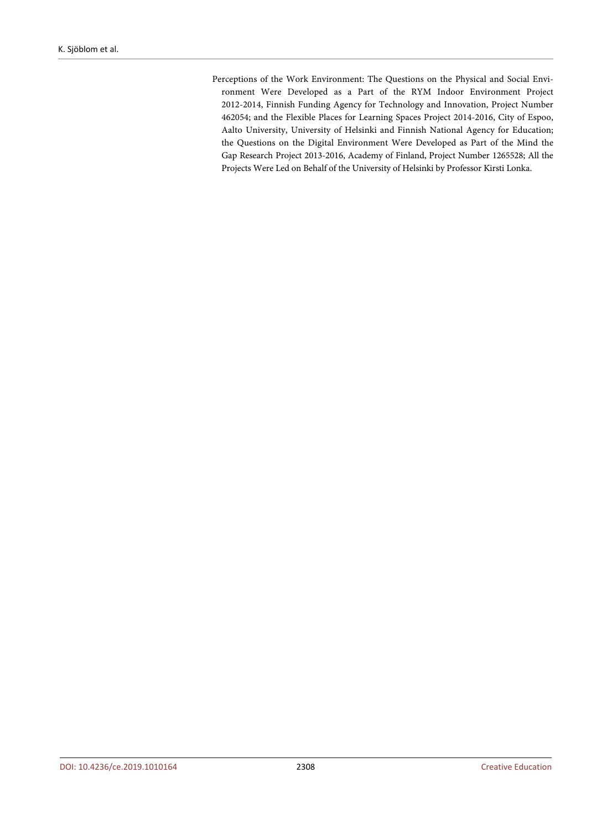<span id="page-25-0"></span>Perceptions of the Work Environment: The Questions on the Physical and Social Environment Were Developed as a Part of the RYM Indoor Environment Project 2012-2014, Finnish Funding Agency for Technology and Innovation, Project Number 462054; and the Flexible Places for Learning Spaces Project 2014-2016, City of Espoo, Aalto University, University of Helsinki and Finnish National Agency for Education; the Questions on the Digital Environment Were Developed as Part of the Mind the Gap Research Project 2013-2016, Academy of Finland, Project Number 1265528; All the Projects Were Led on Behalf of the University of Helsinki by Professor Kirsti Lonka.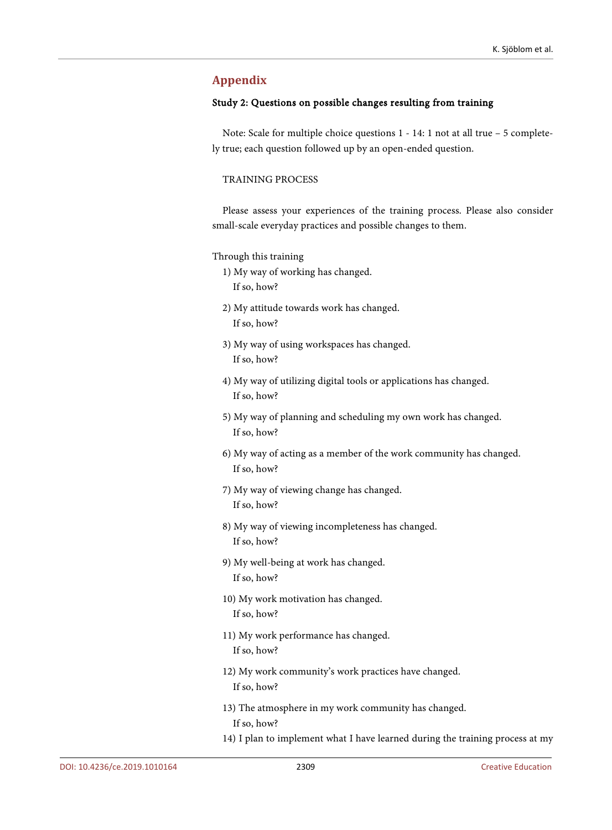# **Appendix**

#### Study 2: Questions on possible changes resulting from training

Note: Scale for multiple choice questions 1 - 14: 1 not at all true – 5 completely true; each question followed up by an open-ended question.

## TRAINING PROCESS

Please assess your experiences of the training process. Please also consider small-scale everyday practices and possible changes to them.

#### Through this training

- 1) My way of working has changed.
	- If so, how?
- 2) My attitude towards work has changed. If so, how?
- 3) My way of using workspaces has changed. If so, how?
- 4) My way of utilizing digital tools or applications has changed. If so, how?
- 5) My way of planning and scheduling my own work has changed. If so, how?
- 6) My way of acting as a member of the work community has changed. If so, how?
- 7) My way of viewing change has changed. If so, how?
- 8) My way of viewing incompleteness has changed. If so, how?
- 9) My well-being at work has changed. If so, how?
- 10) My work motivation has changed. If so, how?
- 11) My work performance has changed. If so, how?
- 12) My work community's work practices have changed. If so, how?
- 13) The atmosphere in my work community has changed. If so, how?
- 14) I plan to implement what I have learned during the training process at my